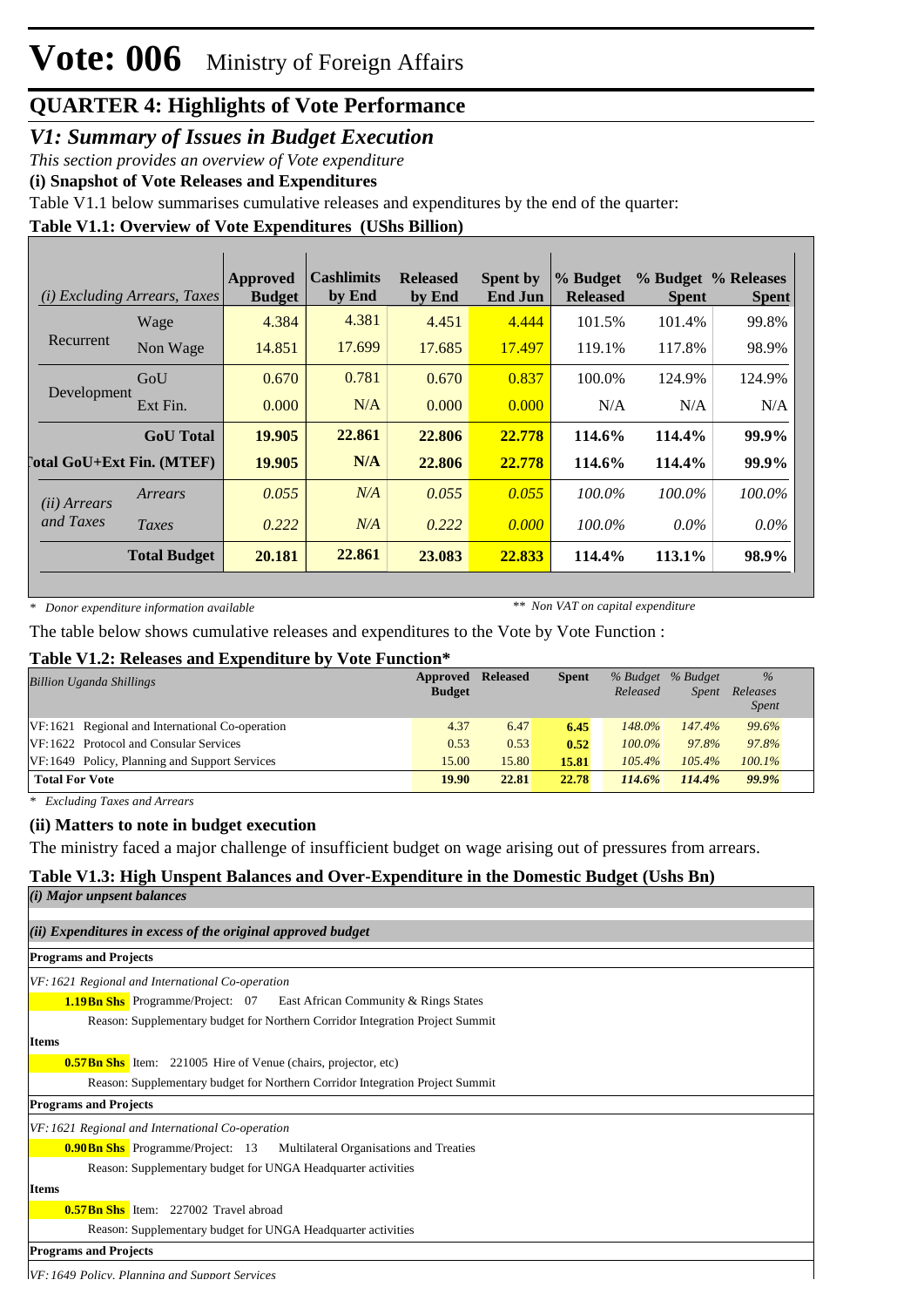#### *V1: Summary of Issues in Budget Execution*

*This section provides an overview of Vote expenditure*

**(i) Snapshot of Vote Releases and Expenditures**

Table V1.1 below summarises cumulative releases and expenditures by the end of the quarter:

#### **Table V1.1: Overview of Vote Expenditures (UShs Billion)**

| (i)                   | <b>Excluding Arrears, Taxes</b>  | <b>Approved</b><br><b>Budget</b> | <b>Cashlimits</b><br>by End | <b>Released</b><br>by End | <b>Spent by</b><br><b>End Jun</b> | % Budget<br><b>Released</b> | <b>Spent</b> | % Budget % Releases<br><b>Spent</b> |
|-----------------------|----------------------------------|----------------------------------|-----------------------------|---------------------------|-----------------------------------|-----------------------------|--------------|-------------------------------------|
|                       | Wage                             | 4.384                            | 4.381                       | 4.451                     | 4.444                             | 101.5%                      | 101.4%       | 99.8%                               |
| Recurrent             | Non Wage                         | 14.851                           | 17.699                      | 17.685                    | 17.497                            | 119.1%                      | 117.8%       | 98.9%                               |
|                       | GoU                              | 0.670                            | 0.781                       | 0.670                     | 0.837                             | 100.0%                      | 124.9%       | 124.9%                              |
| Development           | Ext Fin.                         | 0.000                            | N/A                         | 0.000                     | 0.000                             | N/A                         | N/A          | N/A                                 |
|                       | <b>GoU</b> Total                 | 19.905                           | 22.861                      | 22.806                    | 22.778                            | 114.6%                      | 114.4%       | 99.9%                               |
|                       | <b>Total GoU+Ext Fin. (MTEF)</b> | 19.905                           | N/A                         | 22.806                    | 22.778                            | 114.6%                      | 114.4%       | 99.9%                               |
| ( <i>ii</i> ) Arrears | Arrears                          | 0.055                            | N/A                         | 0.055                     | 0.055                             | $100.0\%$                   | 100.0%       | 100.0%                              |
| and Taxes             | Taxes                            | 0.222                            | N/A                         | 0.222                     | 0.000                             | 100.0%                      | $0.0\%$      | $0.0\%$                             |
|                       | <b>Total Budget</b>              | 20.181                           | 22.861                      | 23.083                    | 22.833                            | 114.4%                      | 113.1%       | 98.9%                               |

*\* Donor expenditure information available*

*\*\* Non VAT on capital expenditure*

The table below shows cumulative releases and expenditures to the Vote by Vote Function :

#### **Table V1.2: Releases and Expenditure by Vote Function\***

| <b>Billion Uganda Shillings</b>                 | Approved<br><b>Budget</b> | <b>Released</b> | <b>Spent</b> | Released  | % Budget % Budget<br><i>Spent</i> | $\%$<br>Releases<br><b>Spent</b> |
|-------------------------------------------------|---------------------------|-----------------|--------------|-----------|-----------------------------------|----------------------------------|
| VF:1621 Regional and International Co-operation | 4.37                      | 6.47            | 6.45         | $148.0\%$ | 147.4%                            | 99.6%                            |
| VF:1622 Protocol and Consular Services          | 0.53                      | 0.53            | 0.52         | $100.0\%$ | 97.8%                             | 97.8%                            |
| VF:1649 Policy, Planning and Support Services   | 15.00                     | 15.80           | 15.81        | $105.4\%$ | $105.4\%$                         | $100.1\%$                        |
| <b>Total For Vote</b>                           | 19.90                     | 22.81           | 22.78        | 114.6%    | 114.4%                            | $99.9\%$                         |

*\* Excluding Taxes and Arrears*

#### **(ii) Matters to note in budget execution**

The ministry faced a major challenge of insufficient budget on wage arising out of pressures from arrears.

#### **Table V1.3: High Unspent Balances and Over-Expenditure in the Domestic Budget (Ushs Bn)**

| ( <i>i</i> ) Major unpsent balances                                              |
|----------------------------------------------------------------------------------|
| $(ii)$ Expenditures in excess of the original approved budget                    |
| <b>Programs and Projects</b>                                                     |
| VF: 1621 Regional and International Co-operation                                 |
| <b>1.19Bn Shs</b> Programme/Project: 07 East African Community & Rings States    |
| Reason: Supplementary budget for Northern Corridor Integration Project Summit    |
| <b>Items</b>                                                                     |
| <b>0.57Bn Shs</b> Item: 221005 Hire of Venue (chairs, projector, etc)            |
| Reason: Supplementary budget for Northern Corridor Integration Project Summit    |
| <b>Programs and Projects</b>                                                     |
| VF: 1621 Regional and International Co-operation                                 |
| <b>0.90 Bn Shs</b> Programme/Project: 13 Multilateral Organisations and Treaties |
| Reason: Supplementary budget for UNGA Headquarter activities                     |
| <b>Items</b>                                                                     |
| <b>0.57Bn Shs</b> Item: 227002 Travel abroad                                     |
| Reason: Supplementary budget for UNGA Headquarter activities                     |
| <b>Programs and Projects</b>                                                     |
| VE, 1640 Dolimi, Dlanning and Support Services                                   |

*VF:1649 Policy, Planning and Support Services*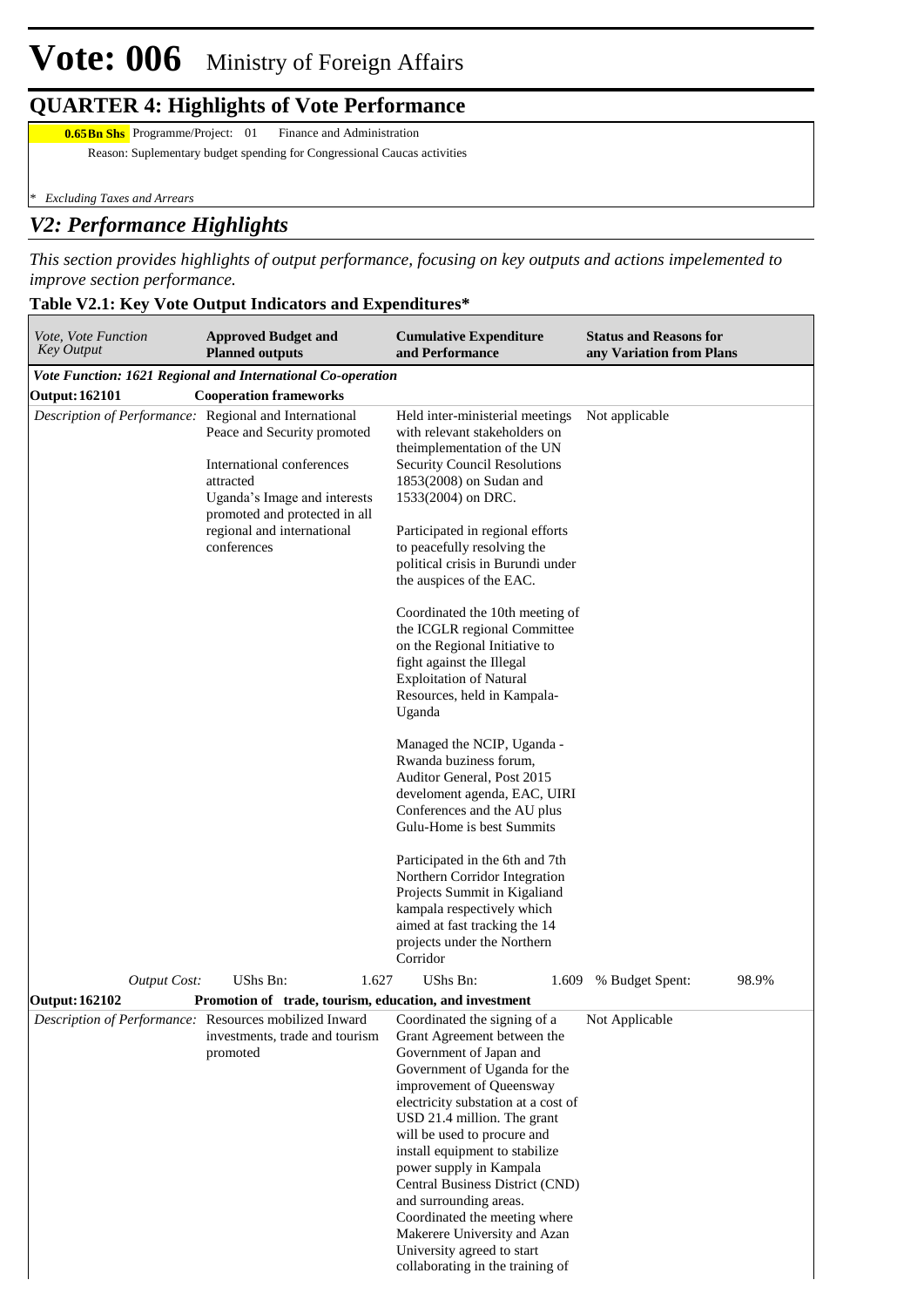### **QUARTER 4: Highlights of Vote Performance**

**0.65 Bn Shs** Programme/Project: 01 Finance and Administration

Reason: Suplementary budget spending for Congressional Caucas activities

*\* Excluding Taxes and Arrears*

### *V2: Performance Highlights*

*This section provides highlights of output performance, focusing on key outputs and actions impelemented to improve section performance.*

#### **Table V2.1: Key Vote Output Indicators and Expenditures\***

| Vote, Vote Function<br><b>Key Output</b>               | <b>Approved Budget and</b><br><b>Planned outputs</b>                                                                                                                                | <b>Cumulative Expenditure</b><br>and Performance                                                                                                                                                                                                                                                                                                                                                                                                                                                                                 | <b>Status and Reasons for</b><br>any Variation from Plans |
|--------------------------------------------------------|-------------------------------------------------------------------------------------------------------------------------------------------------------------------------------------|----------------------------------------------------------------------------------------------------------------------------------------------------------------------------------------------------------------------------------------------------------------------------------------------------------------------------------------------------------------------------------------------------------------------------------------------------------------------------------------------------------------------------------|-----------------------------------------------------------|
|                                                        | Vote Function: 1621 Regional and International Co-operation                                                                                                                         |                                                                                                                                                                                                                                                                                                                                                                                                                                                                                                                                  |                                                           |
| <b>Output: 162101</b>                                  | <b>Cooperation frameworks</b>                                                                                                                                                       |                                                                                                                                                                                                                                                                                                                                                                                                                                                                                                                                  |                                                           |
| Description of Performance: Regional and International | Peace and Security promoted<br>International conferences<br>attracted<br>Uganda's Image and interests<br>promoted and protected in all<br>regional and international<br>conferences | Held inter-ministerial meetings<br>with relevant stakeholders on<br>theimplementation of the UN<br>Security Council Resolutions<br>1853(2008) on Sudan and<br>1533(2004) on DRC.<br>Participated in regional efforts<br>to peacefully resolving the<br>political crisis in Burundi under<br>the auspices of the EAC.<br>Coordinated the 10th meeting of<br>the ICGLR regional Committee<br>on the Regional Initiative to<br>fight against the Illegal<br><b>Exploitation of Natural</b><br>Resources, held in Kampala-<br>Uganda | Not applicable                                            |
|                                                        |                                                                                                                                                                                     | Managed the NCIP, Uganda -<br>Rwanda buziness forum,<br>Auditor General, Post 2015<br>develoment agenda, EAC, UIRI<br>Conferences and the AU plus<br>Gulu-Home is best Summits<br>Participated in the 6th and 7th<br>Northern Corridor Integration<br>Projects Summit in Kigaliand<br>kampala respectively which<br>aimed at fast tracking the 14<br>projects under the Northern<br>Corridor                                                                                                                                     |                                                           |
| <b>Output Cost:</b>                                    | UShs Bn:<br>1.627                                                                                                                                                                   | UShs Bn:<br>1.609                                                                                                                                                                                                                                                                                                                                                                                                                                                                                                                | 98.9%<br>% Budget Spent:                                  |
| Output: 162102                                         | Promotion of trade, tourism, education, and investment                                                                                                                              |                                                                                                                                                                                                                                                                                                                                                                                                                                                                                                                                  |                                                           |
|                                                        | Description of Performance: Resources mobilized Inward Coordinated the signing of a<br>investments, trade and tourism<br>promoted                                                   | Grant Agreement between the<br>Government of Japan and<br>Government of Uganda for the<br>improvement of Queensway<br>electricity substation at a cost of<br>USD 21.4 million. The grant<br>will be used to procure and<br>install equipment to stabilize<br>power supply in Kampala<br>Central Business District (CND)<br>and surrounding areas.<br>Coordinated the meeting where<br>Makerere University and Azan<br>University agreed to start<br>collaborating in the training of                                             | Not Applicable                                            |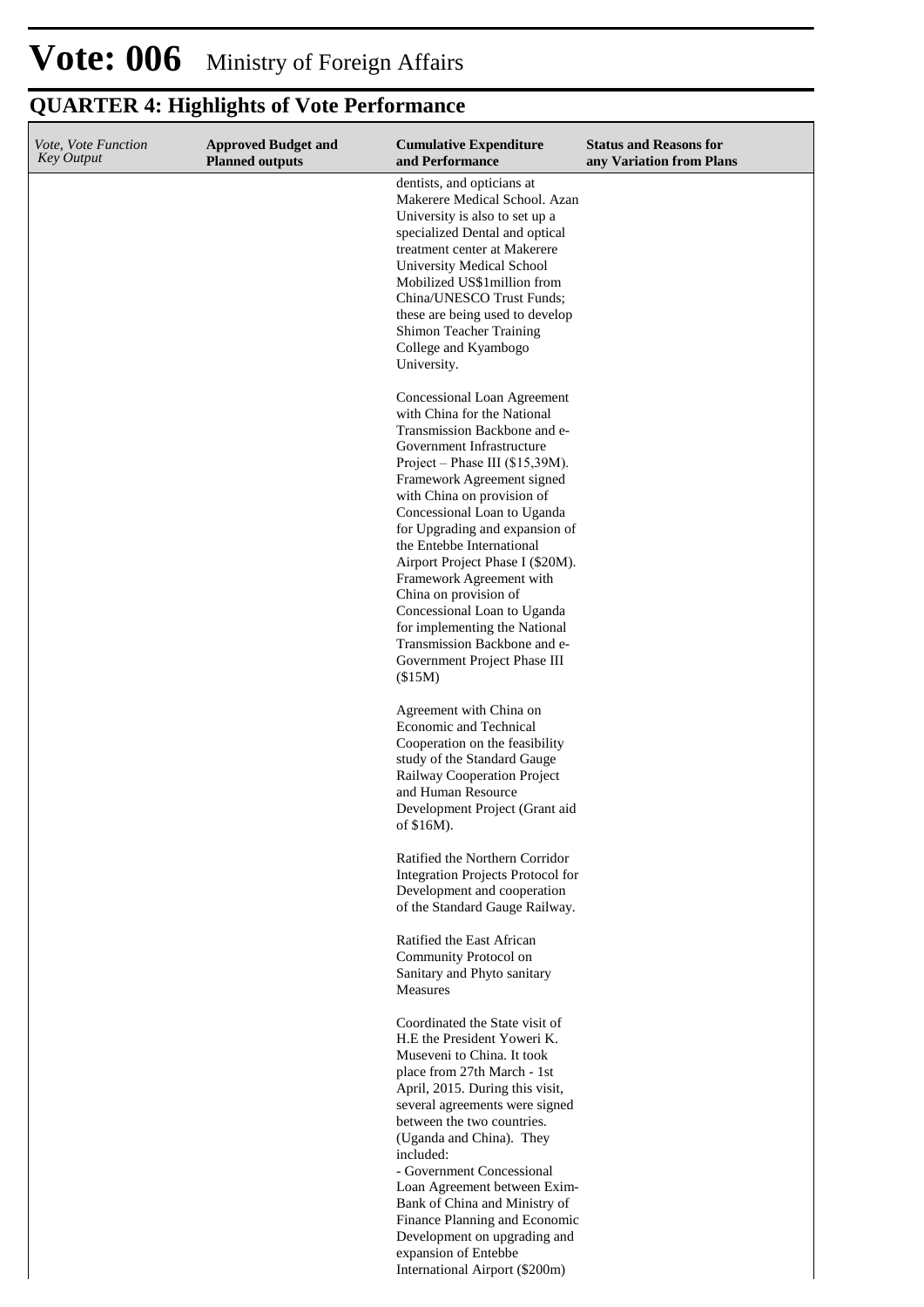### **QUARTER 4: Highlights of Vote Performance**

| Vote, Vote Function<br><b>Key Output</b> | <b>Approved Budget and</b><br><b>Planned outputs</b> | <b>Cumulative Expenditure</b><br>and Performance                                                                                                                                                                                                                                                                                                                                                                                                                                                                                                         | <b>Status and Reasons for</b><br>any Variation from Plans |
|------------------------------------------|------------------------------------------------------|----------------------------------------------------------------------------------------------------------------------------------------------------------------------------------------------------------------------------------------------------------------------------------------------------------------------------------------------------------------------------------------------------------------------------------------------------------------------------------------------------------------------------------------------------------|-----------------------------------------------------------|
|                                          |                                                      | dentists, and opticians at<br>Makerere Medical School. Azan<br>University is also to set up a<br>specialized Dental and optical<br>treatment center at Makerere<br>University Medical School<br>Mobilized US\$1 million from<br>China/UNESCO Trust Funds;<br>these are being used to develop<br>Shimon Teacher Training<br>College and Kyambogo<br>University.                                                                                                                                                                                           |                                                           |
|                                          |                                                      | Concessional Loan Agreement<br>with China for the National<br>Transmission Backbone and e-<br>Government Infrastructure<br>Project – Phase III (\$15,39M).<br>Framework Agreement signed<br>with China on provision of<br>Concessional Loan to Uganda<br>for Upgrading and expansion of<br>the Entebbe International<br>Airport Project Phase I (\$20M).<br>Framework Agreement with<br>China on provision of<br>Concessional Loan to Uganda<br>for implementing the National<br>Transmission Backbone and e-<br>Government Project Phase III<br>(\$15M) |                                                           |
|                                          |                                                      | Agreement with China on<br>Economic and Technical<br>Cooperation on the feasibility<br>study of the Standard Gauge<br>Railway Cooperation Project<br>and Human Resource<br>Development Project (Grant aid<br>of \$16M).                                                                                                                                                                                                                                                                                                                                  |                                                           |
|                                          |                                                      | Ratified the Northern Corridor<br>Integration Projects Protocol for<br>Development and cooperation<br>of the Standard Gauge Railway.                                                                                                                                                                                                                                                                                                                                                                                                                     |                                                           |
|                                          |                                                      | Ratified the East African<br>Community Protocol on<br>Sanitary and Phyto sanitary<br>Measures                                                                                                                                                                                                                                                                                                                                                                                                                                                            |                                                           |
|                                          |                                                      | Coordinated the State visit of<br>H.E the President Yoweri K.<br>Museveni to China. It took<br>place from 27th March - 1st<br>April, 2015. During this visit,<br>several agreements were signed<br>between the two countries.<br>(Uganda and China). They<br>included:<br>- Government Concessional<br>Loan Agreement between Exim-<br>Bank of China and Ministry of<br>Finance Planning and Economic<br>Development on upgrading and<br>expansion of Entebbe<br>International Airport (\$200m)                                                          |                                                           |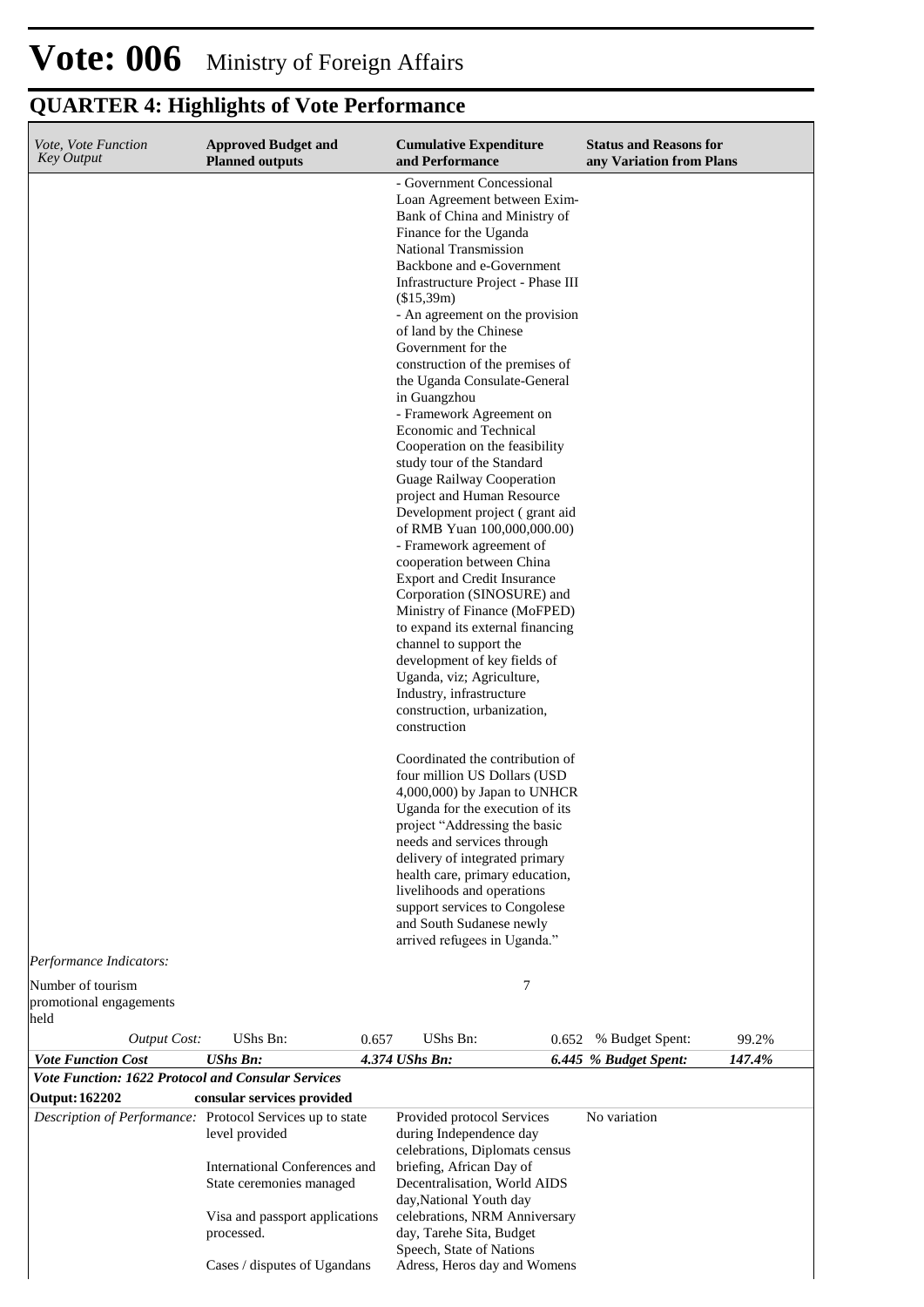# **QUARTER 4: Highlights of Vote Performance**

| Vote, Vote Function<br>Key Output                                                      | <b>Approved Budget and</b><br><b>Planned outputs</b>                                                         | <b>Cumulative Expenditure</b><br>and Performance                                                                                                                                                                                                                                                                                                                                                                                                                                                                                                                                                                                                                                                                                                                                                                                                                                                                                                                                                                                                                                                                                                                                                                                                                                                                                                                   | <b>Status and Reasons for</b><br>any Variation from Plans |
|----------------------------------------------------------------------------------------|--------------------------------------------------------------------------------------------------------------|--------------------------------------------------------------------------------------------------------------------------------------------------------------------------------------------------------------------------------------------------------------------------------------------------------------------------------------------------------------------------------------------------------------------------------------------------------------------------------------------------------------------------------------------------------------------------------------------------------------------------------------------------------------------------------------------------------------------------------------------------------------------------------------------------------------------------------------------------------------------------------------------------------------------------------------------------------------------------------------------------------------------------------------------------------------------------------------------------------------------------------------------------------------------------------------------------------------------------------------------------------------------------------------------------------------------------------------------------------------------|-----------------------------------------------------------|
|                                                                                        |                                                                                                              | - Government Concessional<br>Loan Agreement between Exim-<br>Bank of China and Ministry of<br>Finance for the Uganda<br>National Transmission<br>Backbone and e-Government<br>Infrastructure Project - Phase III<br>(\$15,39m)<br>- An agreement on the provision<br>of land by the Chinese<br>Government for the<br>construction of the premises of<br>the Uganda Consulate-General<br>in Guangzhou<br>- Framework Agreement on<br>Economic and Technical<br>Cooperation on the feasibility<br>study tour of the Standard<br>Guage Railway Cooperation<br>project and Human Resource<br>Development project (grant aid<br>of RMB Yuan 100,000,000.00)<br>- Framework agreement of<br>cooperation between China<br><b>Export and Credit Insurance</b><br>Corporation (SINOSURE) and<br>Ministry of Finance (MoFPED)<br>to expand its external financing<br>channel to support the<br>development of key fields of<br>Uganda, viz; Agriculture,<br>Industry, infrastructure<br>construction, urbanization,<br>construction<br>Coordinated the contribution of<br>four million US Dollars (USD<br>4,000,000) by Japan to UNHCR<br>Uganda for the execution of its<br>project "Addressing the basic<br>needs and services through<br>delivery of integrated primary<br>health care, primary education,<br>livelihoods and operations<br>support services to Congolese |                                                           |
|                                                                                        |                                                                                                              | and South Sudanese newly<br>arrived refugees in Uganda."                                                                                                                                                                                                                                                                                                                                                                                                                                                                                                                                                                                                                                                                                                                                                                                                                                                                                                                                                                                                                                                                                                                                                                                                                                                                                                           |                                                           |
| Performance Indicators:<br>Number of tourism                                           |                                                                                                              | 7                                                                                                                                                                                                                                                                                                                                                                                                                                                                                                                                                                                                                                                                                                                                                                                                                                                                                                                                                                                                                                                                                                                                                                                                                                                                                                                                                                  |                                                           |
| promotional engagements<br>held                                                        |                                                                                                              |                                                                                                                                                                                                                                                                                                                                                                                                                                                                                                                                                                                                                                                                                                                                                                                                                                                                                                                                                                                                                                                                                                                                                                                                                                                                                                                                                                    |                                                           |
| <b>Output Cost:</b>                                                                    | UShs Bn:                                                                                                     | UShs Bn:<br>0.657<br>0.652                                                                                                                                                                                                                                                                                                                                                                                                                                                                                                                                                                                                                                                                                                                                                                                                                                                                                                                                                                                                                                                                                                                                                                                                                                                                                                                                         | 99.2%<br>% Budget Spent:                                  |
| <b>Vote Function Cost</b><br><b>Vote Function: 1622 Protocol and Consular Services</b> | <b>UShs Bn:</b>                                                                                              | 4.374 UShs Bn:                                                                                                                                                                                                                                                                                                                                                                                                                                                                                                                                                                                                                                                                                                                                                                                                                                                                                                                                                                                                                                                                                                                                                                                                                                                                                                                                                     | 147.4%<br>6.445 % Budget Spent:                           |
| <b>Output: 162202</b>                                                                  | consular services provided                                                                                   |                                                                                                                                                                                                                                                                                                                                                                                                                                                                                                                                                                                                                                                                                                                                                                                                                                                                                                                                                                                                                                                                                                                                                                                                                                                                                                                                                                    |                                                           |
|                                                                                        | Description of Performance: Protocol Services up to state<br>level provided<br>International Conferences and | Provided protocol Services<br>during Independence day<br>celebrations, Diplomats census<br>briefing, African Day of                                                                                                                                                                                                                                                                                                                                                                                                                                                                                                                                                                                                                                                                                                                                                                                                                                                                                                                                                                                                                                                                                                                                                                                                                                                | No variation                                              |
|                                                                                        | State ceremonies managed<br>Visa and passport applications<br>processed.                                     | Decentralisation, World AIDS<br>day, National Youth day<br>celebrations, NRM Anniversary<br>day, Tarehe Sita, Budget<br>Speech, State of Nations                                                                                                                                                                                                                                                                                                                                                                                                                                                                                                                                                                                                                                                                                                                                                                                                                                                                                                                                                                                                                                                                                                                                                                                                                   |                                                           |
|                                                                                        | Cases / disputes of Ugandans                                                                                 | Adress, Heros day and Womens                                                                                                                                                                                                                                                                                                                                                                                                                                                                                                                                                                                                                                                                                                                                                                                                                                                                                                                                                                                                                                                                                                                                                                                                                                                                                                                                       |                                                           |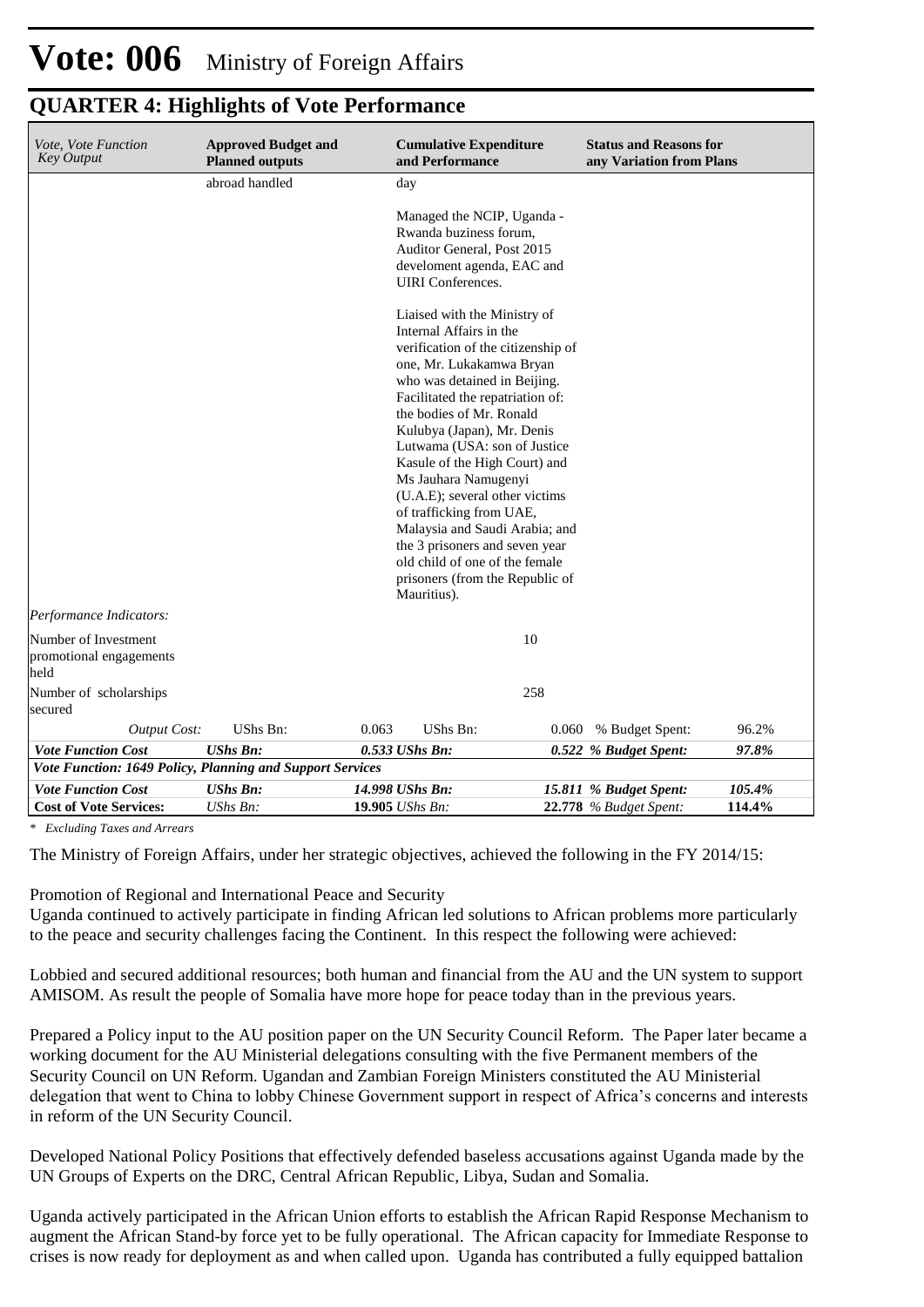| <i>Vote, Vote Function</i><br><b>Key Output</b>           | <b>Approved Budget and</b><br><b>Planned outputs</b> | <b>Cumulative Expenditure</b><br>and Performance                                                                                                                                                                                                                                                                                                                                                                                                                                                                                                        | <b>Status and Reasons for</b><br>any Variation from Plans |        |  |
|-----------------------------------------------------------|------------------------------------------------------|---------------------------------------------------------------------------------------------------------------------------------------------------------------------------------------------------------------------------------------------------------------------------------------------------------------------------------------------------------------------------------------------------------------------------------------------------------------------------------------------------------------------------------------------------------|-----------------------------------------------------------|--------|--|
|                                                           | abroad handled                                       | day                                                                                                                                                                                                                                                                                                                                                                                                                                                                                                                                                     |                                                           |        |  |
|                                                           |                                                      | Managed the NCIP, Uganda -<br>Rwanda buziness forum,<br>Auditor General, Post 2015<br>develoment agenda, EAC and<br><b>UIRI</b> Conferences.                                                                                                                                                                                                                                                                                                                                                                                                            |                                                           |        |  |
|                                                           |                                                      | Liaised with the Ministry of<br>Internal Affairs in the<br>verification of the citizenship of<br>one, Mr. Lukakamwa Bryan<br>who was detained in Beijing.<br>Facilitated the repatriation of:<br>the bodies of Mr. Ronald<br>Kulubya (Japan), Mr. Denis<br>Lutwama (USA: son of Justice<br>Kasule of the High Court) and<br>Ms Jauhara Namugenyi<br>(U.A.E); several other victims<br>of trafficking from UAE,<br>Malaysia and Saudi Arabia; and<br>the 3 prisoners and seven year<br>old child of one of the female<br>prisoners (from the Republic of |                                                           |        |  |
| Performance Indicators:                                   |                                                      |                                                                                                                                                                                                                                                                                                                                                                                                                                                                                                                                                         |                                                           |        |  |
| Number of Investment<br>promotional engagements<br>held   |                                                      | 10                                                                                                                                                                                                                                                                                                                                                                                                                                                                                                                                                      |                                                           |        |  |
| Number of scholarships<br>secured                         |                                                      | 258                                                                                                                                                                                                                                                                                                                                                                                                                                                                                                                                                     |                                                           |        |  |
| <b>Output Cost:</b>                                       | UShs Bn:                                             | 0.063<br><b>UShs Bn:</b>                                                                                                                                                                                                                                                                                                                                                                                                                                                                                                                                | % Budget Spent:<br>0.060                                  | 96.2%  |  |
| <b>Vote Function Cost</b>                                 | <b>UShs Bn:</b>                                      | $0.533$ UShs Bn:                                                                                                                                                                                                                                                                                                                                                                                                                                                                                                                                        | 0.522 % Budget Spent:                                     | 97.8%  |  |
| Vote Function: 1649 Policy, Planning and Support Services |                                                      |                                                                                                                                                                                                                                                                                                                                                                                                                                                                                                                                                         |                                                           |        |  |
| <b>Vote Function Cost</b>                                 | <b>UShs Bn:</b>                                      | 14.998 UShs Bn:                                                                                                                                                                                                                                                                                                                                                                                                                                                                                                                                         | 15.811 % Budget Spent:                                    | 105.4% |  |
| <b>Cost of Vote Services:</b>                             | UShs Bn:                                             | 19.905 UShs Bn:                                                                                                                                                                                                                                                                                                                                                                                                                                                                                                                                         | <b>22.778</b> % Budget Spent:                             | 114.4% |  |

**QUARTER 4: Highlights of Vote Performance**

*\* Excluding Taxes and Arrears*

The Ministry of Foreign Affairs, under her strategic objectives, achieved the following in the FY 2014/15:

Promotion of Regional and International Peace and Security

Uganda continued to actively participate in finding African led solutions to African problems more particularly to the peace and security challenges facing the Continent. In this respect the following were achieved:

Lobbied and secured additional resources; both human and financial from the AU and the UN system to support AMISOM. As result the people of Somalia have more hope for peace today than in the previous years.

Prepared a Policy input to the AU position paper on the UN Security Council Reform. The Paper later became a working document for the AU Ministerial delegations consulting with the five Permanent members of the Security Council on UN Reform. Ugandan and Zambian Foreign Ministers constituted the AU Ministerial delegation that went to China to lobby Chinese Government support in respect of Africa's concerns and interests in reform of the UN Security Council.

Developed National Policy Positions that effectively defended baseless accusations against Uganda made by the UN Groups of Experts on the DRC, Central African Republic, Libya, Sudan and Somalia.

Uganda actively participated in the African Union efforts to establish the African Rapid Response Mechanism to augment the African Stand-by force yet to be fully operational. The African capacity for Immediate Response to crises is now ready for deployment as and when called upon. Uganda has contributed a fully equipped battalion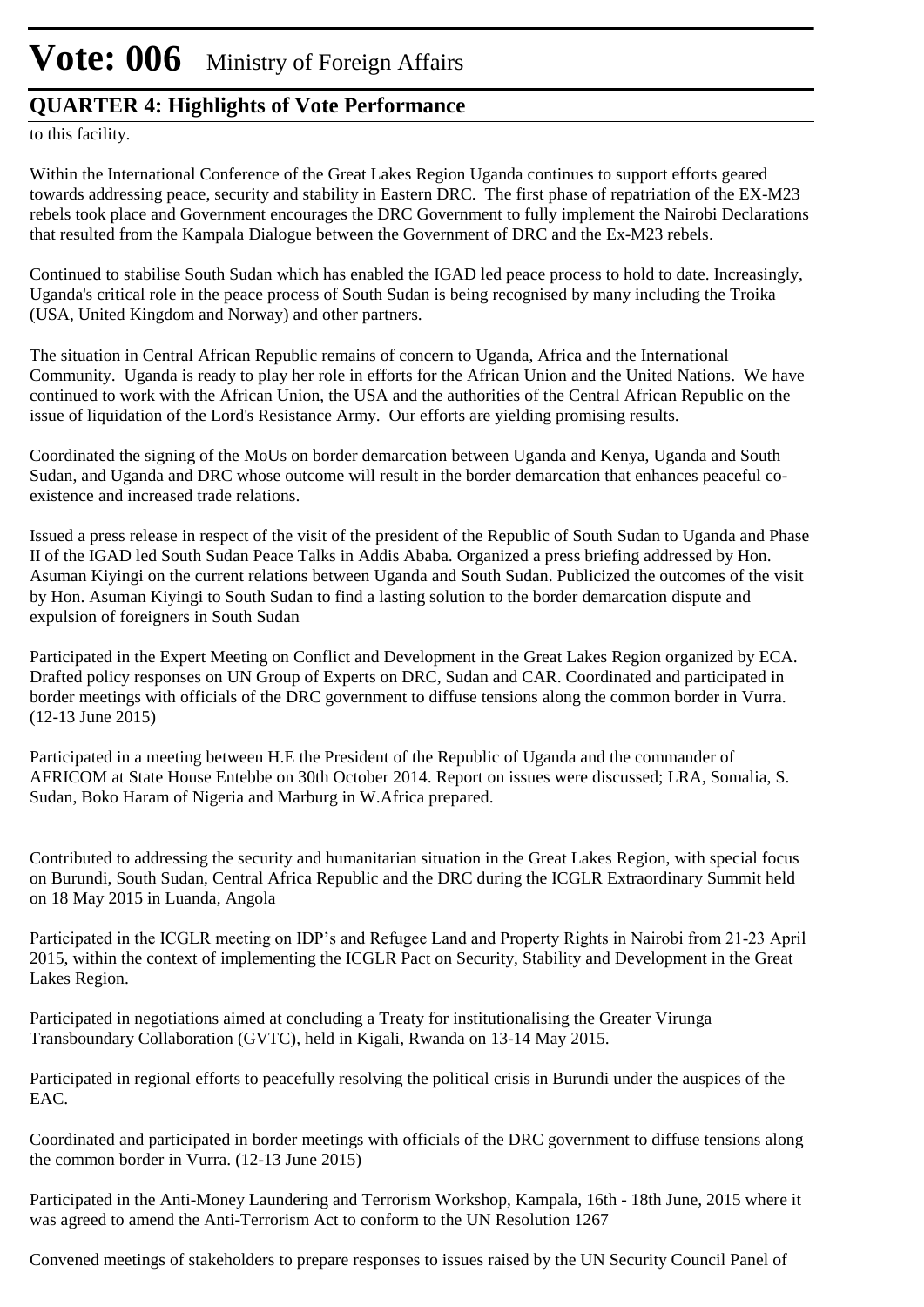### **QUARTER 4: Highlights of Vote Performance**

to this facility.

Within the International Conference of the Great Lakes Region Uganda continues to support efforts geared towards addressing peace, security and stability in Eastern DRC. The first phase of repatriation of the EX-M23 rebels took place and Government encourages the DRC Government to fully implement the Nairobi Declarations that resulted from the Kampala Dialogue between the Government of DRC and the Ex-M23 rebels.

Continued to stabilise South Sudan which has enabled the IGAD led peace process to hold to date. Increasingly, Uganda's critical role in the peace process of South Sudan is being recognised by many including the Troika (USA, United Kingdom and Norway) and other partners.

The situation in Central African Republic remains of concern to Uganda, Africa and the International Community. Uganda is ready to play her role in efforts for the African Union and the United Nations. We have continued to work with the African Union, the USA and the authorities of the Central African Republic on the issue of liquidation of the Lord's Resistance Army. Our efforts are yielding promising results.

Coordinated the signing of the MoUs on border demarcation between Uganda and Kenya, Uganda and South Sudan, and Uganda and DRC whose outcome will result in the border demarcation that enhances peaceful coexistence and increased trade relations.

Issued a press release in respect of the visit of the president of the Republic of South Sudan to Uganda and Phase II of the IGAD led South Sudan Peace Talks in Addis Ababa. Organized a press briefing addressed by Hon. Asuman Kiyingi on the current relations between Uganda and South Sudan. Publicized the outcomes of the visit by Hon. Asuman Kiyingi to South Sudan to find a lasting solution to the border demarcation dispute and expulsion of foreigners in South Sudan

Participated in the Expert Meeting on Conflict and Development in the Great Lakes Region organized by ECA. Drafted policy responses on UN Group of Experts on DRC, Sudan and CAR. Coordinated and participated in border meetings with officials of the DRC government to diffuse tensions along the common border in Vurra. (12-13 June 2015)

Participated in a meeting between H.E the President of the Republic of Uganda and the commander of AFRICOM at State House Entebbe on 30th October 2014. Report on issues were discussed; LRA, Somalia, S. Sudan, Boko Haram of Nigeria and Marburg in W.Africa prepared.

Contributed to addressing the security and humanitarian situation in the Great Lakes Region, with special focus on Burundi, South Sudan, Central Africa Republic and the DRC during the ICGLR Extraordinary Summit held on 18 May 2015 in Luanda, Angola

Participated in the ICGLR meeting on IDP's and Refugee Land and Property Rights in Nairobi from 21-23 April 2015, within the context of implementing the ICGLR Pact on Security, Stability and Development in the Great Lakes Region.

Participated in negotiations aimed at concluding a Treaty for institutionalising the Greater Virunga Transboundary Collaboration (GVTC), held in Kigali, Rwanda on 13-14 May 2015.

Participated in regional efforts to peacefully resolving the political crisis in Burundi under the auspices of the EAC.

Coordinated and participated in border meetings with officials of the DRC government to diffuse tensions along the common border in Vurra. (12-13 June 2015)

Participated in the Anti-Money Laundering and Terrorism Workshop, Kampala, 16th - 18th June, 2015 where it was agreed to amend the Anti-Terrorism Act to conform to the UN Resolution 1267

Convened meetings of stakeholders to prepare responses to issues raised by the UN Security Council Panel of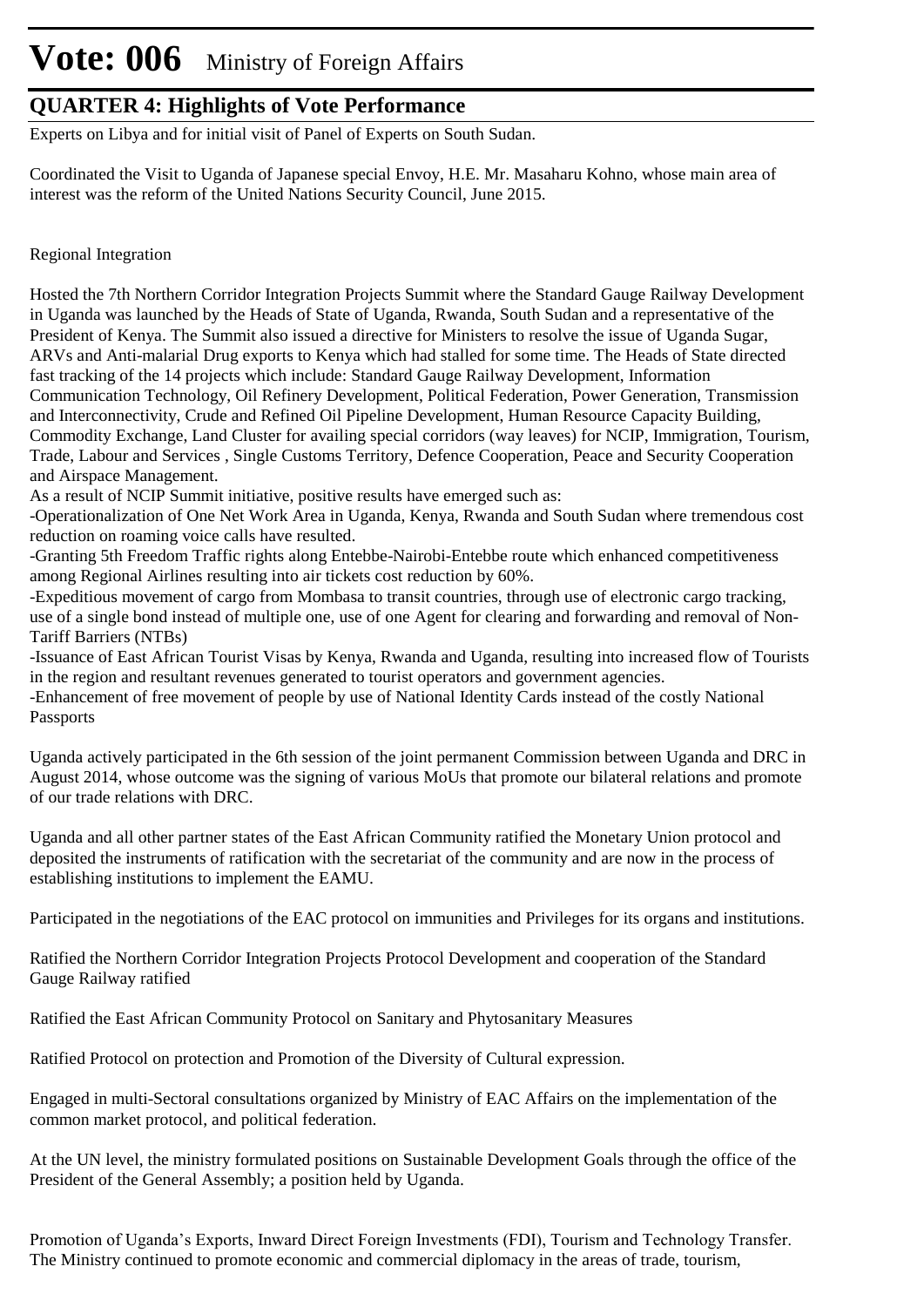### **QUARTER 4: Highlights of Vote Performance**

Experts on Libya and for initial visit of Panel of Experts on South Sudan.

Coordinated the Visit to Uganda of Japanese special Envoy, H.E. Mr. Masaharu Kohno, whose main area of interest was the reform of the United Nations Security Council, June 2015.

#### Regional Integration

Hosted the 7th Northern Corridor Integration Projects Summit where the Standard Gauge Railway Development in Uganda was launched by the Heads of State of Uganda, Rwanda, South Sudan and a representative of the President of Kenya. The Summit also issued a directive for Ministers to resolve the issue of Uganda Sugar, ARVs and Anti-malarial Drug exports to Kenya which had stalled for some time. The Heads of State directed fast tracking of the 14 projects which include: Standard Gauge Railway Development, Information Communication Technology, Oil Refinery Development, Political Federation, Power Generation, Transmission and Interconnectivity, Crude and Refined Oil Pipeline Development, Human Resource Capacity Building, Commodity Exchange, Land Cluster for availing special corridors (way leaves) for NCIP, Immigration, Tourism, Trade, Labour and Services , Single Customs Territory, Defence Cooperation, Peace and Security Cooperation and Airspace Management.

As a result of NCIP Summit initiative, positive results have emerged such as:

-Operationalization of One Net Work Area in Uganda, Kenya, Rwanda and South Sudan where tremendous cost reduction on roaming voice calls have resulted.

-Granting 5th Freedom Traffic rights along Entebbe-Nairobi-Entebbe route which enhanced competitiveness among Regional Airlines resulting into air tickets cost reduction by 60%.

-Expeditious movement of cargo from Mombasa to transit countries, through use of electronic cargo tracking, use of a single bond instead of multiple one, use of one Agent for clearing and forwarding and removal of Non-Tariff Barriers (NTBs)

-Issuance of East African Tourist Visas by Kenya, Rwanda and Uganda, resulting into increased flow of Tourists in the region and resultant revenues generated to tourist operators and government agencies.

-Enhancement of free movement of people by use of National Identity Cards instead of the costly National Passports

Uganda actively participated in the 6th session of the joint permanent Commission between Uganda and DRC in August 2014, whose outcome was the signing of various MoUs that promote our bilateral relations and promote of our trade relations with DRC.

Uganda and all other partner states of the East African Community ratified the Monetary Union protocol and deposited the instruments of ratification with the secretariat of the community and are now in the process of establishing institutions to implement the EAMU.

Participated in the negotiations of the EAC protocol on immunities and Privileges for its organs and institutions.

Ratified the Northern Corridor Integration Projects Protocol Development and cooperation of the Standard Gauge Railway ratified

Ratified the East African Community Protocol on Sanitary and Phytosanitary Measures

Ratified Protocol on protection and Promotion of the Diversity of Cultural expression.

Engaged in multi-Sectoral consultations organized by Ministry of EAC Affairs on the implementation of the common market protocol, and political federation.

At the UN level, the ministry formulated positions on Sustainable Development Goals through the office of the President of the General Assembly; a position held by Uganda.

Promotion of Uganda's Exports, Inward Direct Foreign Investments (FDI), Tourism and Technology Transfer. The Ministry continued to promote economic and commercial diplomacy in the areas of trade, tourism,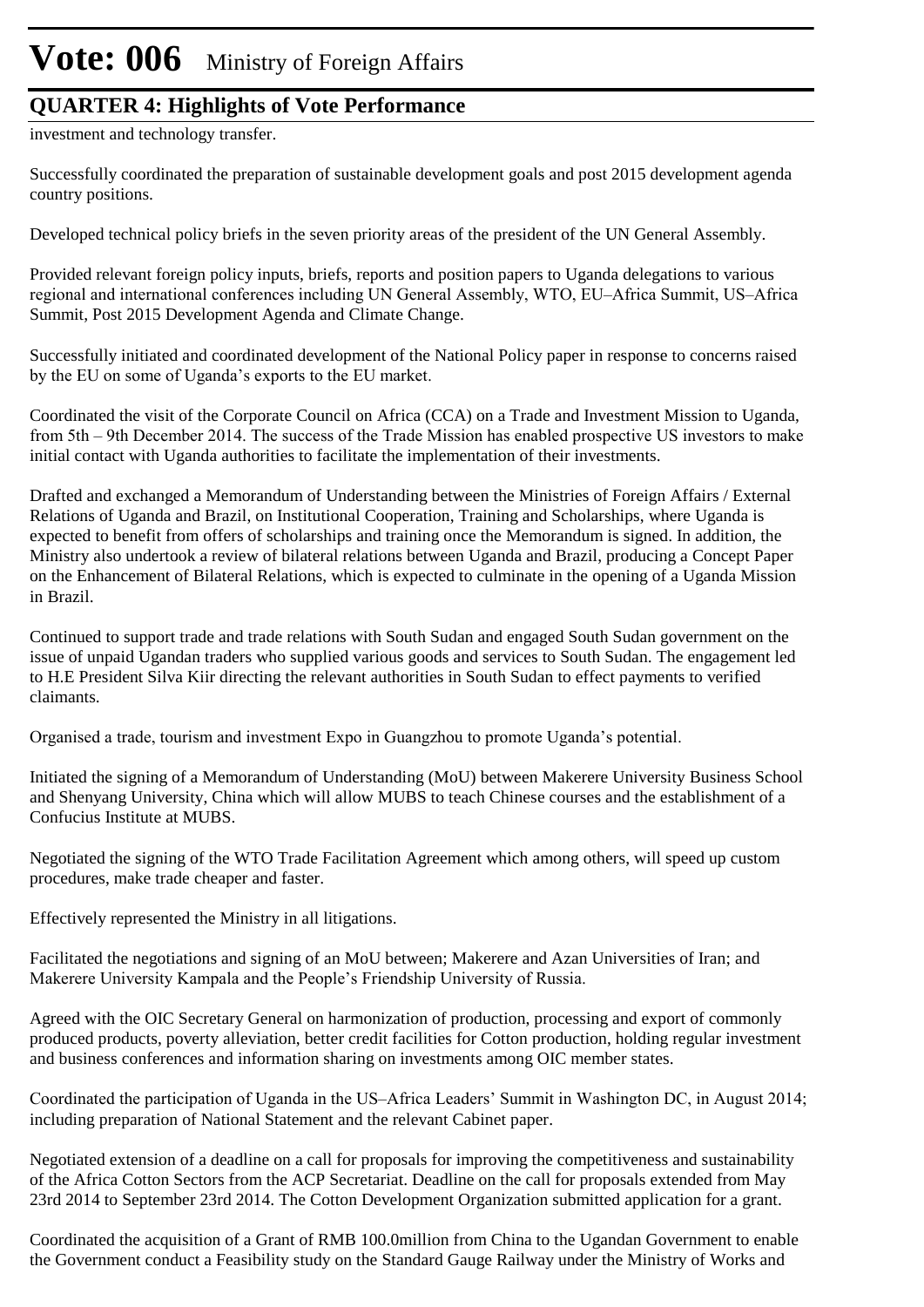### **QUARTER 4: Highlights of Vote Performance**

investment and technology transfer.

Successfully coordinated the preparation of sustainable development goals and post 2015 development agenda country positions.

Developed technical policy briefs in the seven priority areas of the president of the UN General Assembly.

Provided relevant foreign policy inputs, briefs, reports and position papers to Uganda delegations to various regional and international conferences including UN General Assembly, WTO, EU–Africa Summit, US–Africa Summit, Post 2015 Development Agenda and Climate Change.

Successfully initiated and coordinated development of the National Policy paper in response to concerns raised by the EU on some of Uganda's exports to the EU market.

Coordinated the visit of the Corporate Council on Africa (CCA) on a Trade and Investment Mission to Uganda, from 5th – 9th December 2014. The success of the Trade Mission has enabled prospective US investors to make initial contact with Uganda authorities to facilitate the implementation of their investments.

Drafted and exchanged a Memorandum of Understanding between the Ministries of Foreign Affairs / External Relations of Uganda and Brazil, on Institutional Cooperation, Training and Scholarships, where Uganda is expected to benefit from offers of scholarships and training once the Memorandum is signed. In addition, the Ministry also undertook a review of bilateral relations between Uganda and Brazil, producing a Concept Paper on the Enhancement of Bilateral Relations, which is expected to culminate in the opening of a Uganda Mission in Brazil.

Continued to support trade and trade relations with South Sudan and engaged South Sudan government on the issue of unpaid Ugandan traders who supplied various goods and services to South Sudan. The engagement led to H.E President Silva Kiir directing the relevant authorities in South Sudan to effect payments to verified claimants.

Organised a trade, tourism and investment Expo in Guangzhou to promote Uganda's potential.

Initiated the signing of a Memorandum of Understanding (MoU) between Makerere University Business School and Shenyang University, China which will allow MUBS to teach Chinese courses and the establishment of a Confucius Institute at MUBS.

Negotiated the signing of the WTO Trade Facilitation Agreement which among others, will speed up custom procedures, make trade cheaper and faster.

Effectively represented the Ministry in all litigations.

Facilitated the negotiations and signing of an MoU between; Makerere and Azan Universities of Iran; and Makerere University Kampala and the People's Friendship University of Russia.

Agreed with the OIC Secretary General on harmonization of production, processing and export of commonly produced products, poverty alleviation, better credit facilities for Cotton production, holding regular investment and business conferences and information sharing on investments among OIC member states.

Coordinated the participation of Uganda in the US–Africa Leaders' Summit in Washington DC, in August 2014; including preparation of National Statement and the relevant Cabinet paper.

Negotiated extension of a deadline on a call for proposals for improving the competitiveness and sustainability of the Africa Cotton Sectors from the ACP Secretariat. Deadline on the call for proposals extended from May 23rd 2014 to September 23rd 2014. The Cotton Development Organization submitted application for a grant.

Coordinated the acquisition of a Grant of RMB 100.0million from China to the Ugandan Government to enable the Government conduct a Feasibility study on the Standard Gauge Railway under the Ministry of Works and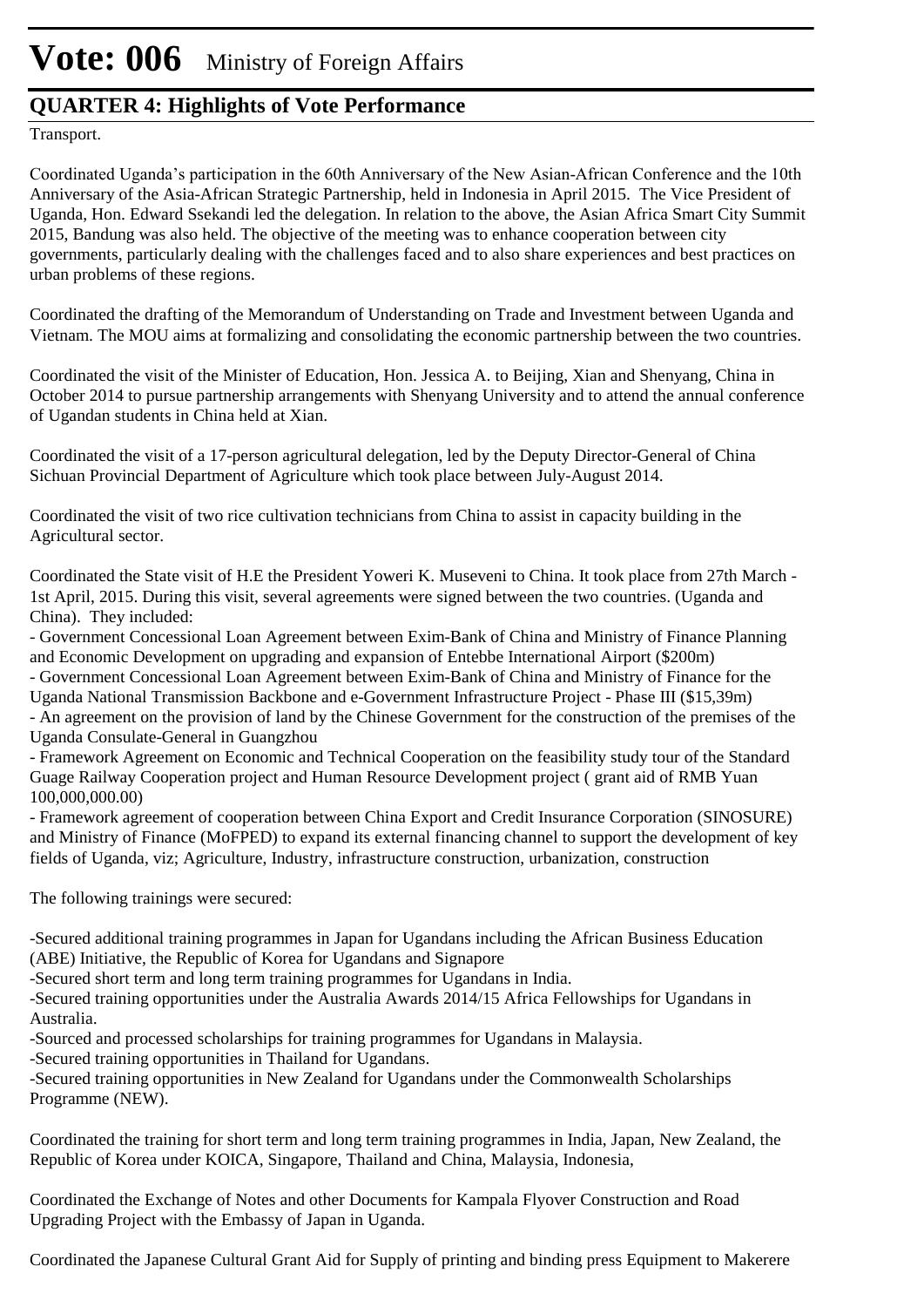### **QUARTER 4: Highlights of Vote Performance**

Transport.

Coordinated Uganda's participation in the 60th Anniversary of the New Asian-African Conference and the 10th Anniversary of the Asia-African Strategic Partnership, held in Indonesia in April 2015. The Vice President of Uganda, Hon. Edward Ssekandi led the delegation. In relation to the above, the Asian Africa Smart City Summit 2015, Bandung was also held. The objective of the meeting was to enhance cooperation between city governments, particularly dealing with the challenges faced and to also share experiences and best practices on urban problems of these regions.

Coordinated the drafting of the Memorandum of Understanding on Trade and Investment between Uganda and Vietnam. The MOU aims at formalizing and consolidating the economic partnership between the two countries.

Coordinated the visit of the Minister of Education, Hon. Jessica A. to Beijing, Xian and Shenyang, China in October 2014 to pursue partnership arrangements with Shenyang University and to attend the annual conference of Ugandan students in China held at Xian.

Coordinated the visit of a 17-person agricultural delegation, led by the Deputy Director-General of China Sichuan Provincial Department of Agriculture which took place between July-August 2014.

Coordinated the visit of two rice cultivation technicians from China to assist in capacity building in the Agricultural sector.

Coordinated the State visit of H.E the President Yoweri K. Museveni to China. It took place from 27th March - 1st April, 2015. During this visit, several agreements were signed between the two countries. (Uganda and China). They included:

- Government Concessional Loan Agreement between Exim-Bank of China and Ministry of Finance Planning and Economic Development on upgrading and expansion of Entebbe International Airport (\$200m)

- Government Concessional Loan Agreement between Exim-Bank of China and Ministry of Finance for the

Uganda National Transmission Backbone and e-Government Infrastructure Project - Phase III (\$15,39m) - An agreement on the provision of land by the Chinese Government for the construction of the premises of the

Uganda Consulate-General in Guangzhou

- Framework Agreement on Economic and Technical Cooperation on the feasibility study tour of the Standard Guage Railway Cooperation project and Human Resource Development project ( grant aid of RMB Yuan 100,000,000.00)

- Framework agreement of cooperation between China Export and Credit Insurance Corporation (SINOSURE) and Ministry of Finance (MoFPED) to expand its external financing channel to support the development of key fields of Uganda, viz; Agriculture, Industry, infrastructure construction, urbanization, construction

The following trainings were secured:

-Secured additional training programmes in Japan for Ugandans including the African Business Education (ABE) Initiative, the Republic of Korea for Ugandans and Signapore

-Secured short term and long term training programmes for Ugandans in India.

-Secured training opportunities under the Australia Awards 2014/15 Africa Fellowships for Ugandans in Australia.

-Sourced and processed scholarships for training programmes for Ugandans in Malaysia.

-Secured training opportunities in Thailand for Ugandans.

-Secured training opportunities in New Zealand for Ugandans under the Commonwealth Scholarships Programme (NEW).

Coordinated the training for short term and long term training programmes in India, Japan, New Zealand, the Republic of Korea under KOICA, Singapore, Thailand and China, Malaysia, Indonesia,

Coordinated the Exchange of Notes and other Documents for Kampala Flyover Construction and Road Upgrading Project with the Embassy of Japan in Uganda.

Coordinated the Japanese Cultural Grant Aid for Supply of printing and binding press Equipment to Makerere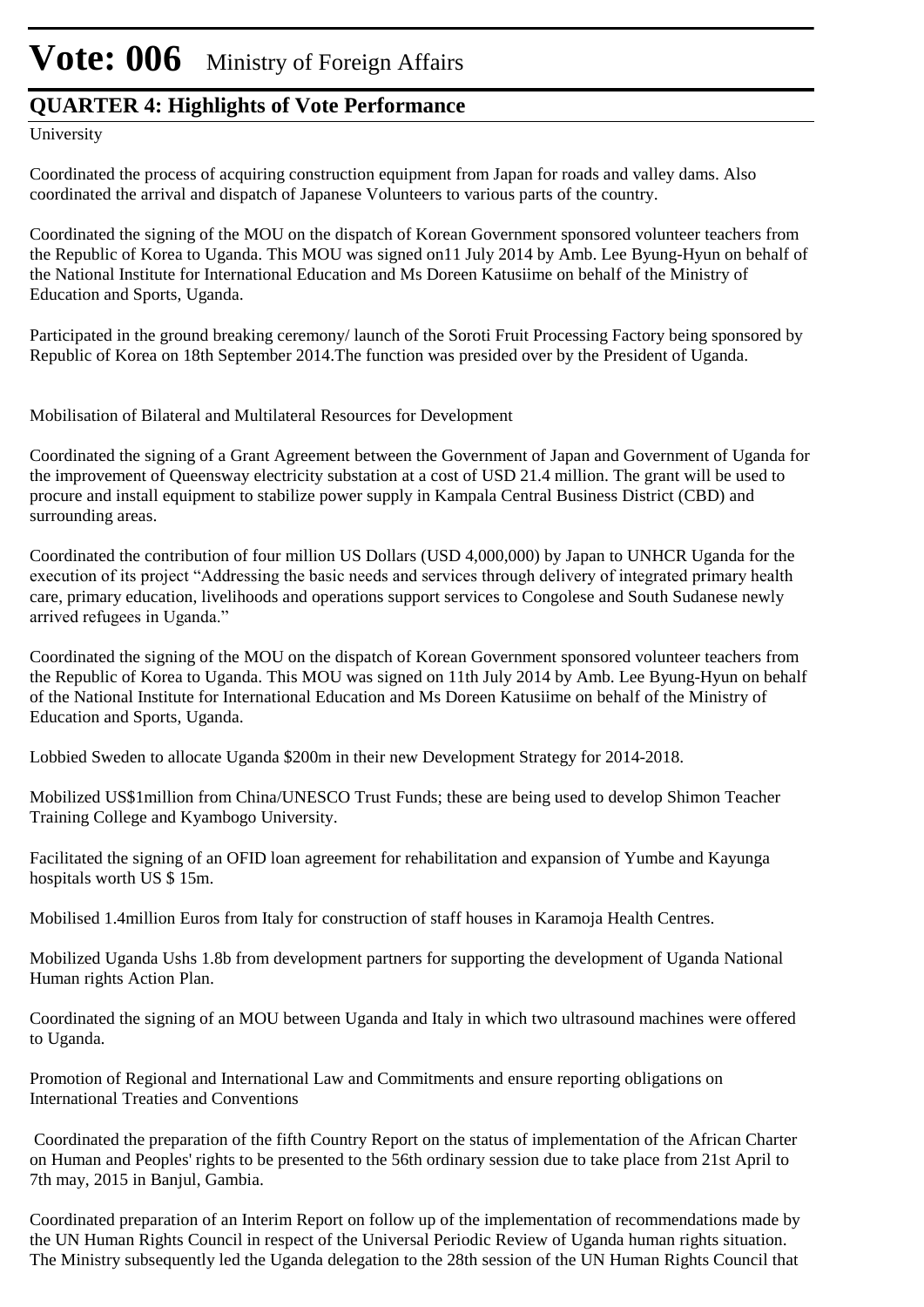#### **QUARTER 4: Highlights of Vote Performance**

University

Coordinated the process of acquiring construction equipment from Japan for roads and valley dams. Also coordinated the arrival and dispatch of Japanese Volunteers to various parts of the country.

Coordinated the signing of the MOU on the dispatch of Korean Government sponsored volunteer teachers from the Republic of Korea to Uganda. This MOU was signed on11 July 2014 by Amb. Lee Byung-Hyun on behalf of the National Institute for International Education and Ms Doreen Katusiime on behalf of the Ministry of Education and Sports, Uganda.

Participated in the ground breaking ceremony/ launch of the Soroti Fruit Processing Factory being sponsored by Republic of Korea on 18th September 2014.The function was presided over by the President of Uganda.

Mobilisation of Bilateral and Multilateral Resources for Development

Coordinated the signing of a Grant Agreement between the Government of Japan and Government of Uganda for the improvement of Queensway electricity substation at a cost of USD 21.4 million. The grant will be used to procure and install equipment to stabilize power supply in Kampala Central Business District (CBD) and surrounding areas.

Coordinated the contribution of four million US Dollars (USD 4,000,000) by Japan to UNHCR Uganda for the execution of its project "Addressing the basic needs and services through delivery of integrated primary health care, primary education, livelihoods and operations support services to Congolese and South Sudanese newly arrived refugees in Uganda."

Coordinated the signing of the MOU on the dispatch of Korean Government sponsored volunteer teachers from the Republic of Korea to Uganda. This MOU was signed on 11th July 2014 by Amb. Lee Byung-Hyun on behalf of the National Institute for International Education and Ms Doreen Katusiime on behalf of the Ministry of Education and Sports, Uganda.

Lobbied Sweden to allocate Uganda \$200m in their new Development Strategy for 2014-2018.

Mobilized US\$1million from China/UNESCO Trust Funds; these are being used to develop Shimon Teacher Training College and Kyambogo University.

Facilitated the signing of an OFID loan agreement for rehabilitation and expansion of Yumbe and Kayunga hospitals worth US \$ 15m.

Mobilised 1.4million Euros from Italy for construction of staff houses in Karamoja Health Centres.

Mobilized Uganda Ushs 1.8b from development partners for supporting the development of Uganda National Human rights Action Plan.

Coordinated the signing of an MOU between Uganda and Italy in which two ultrasound machines were offered to Uganda.

Promotion of Regional and International Law and Commitments and ensure reporting obligations on International Treaties and Conventions

 Coordinated the preparation of the fifth Country Report on the status of implementation of the African Charter on Human and Peoples' rights to be presented to the 56th ordinary session due to take place from 21st April to 7th may, 2015 in Banjul, Gambia.

Coordinated preparation of an Interim Report on follow up of the implementation of recommendations made by the UN Human Rights Council in respect of the Universal Periodic Review of Uganda human rights situation. The Ministry subsequently led the Uganda delegation to the 28th session of the UN Human Rights Council that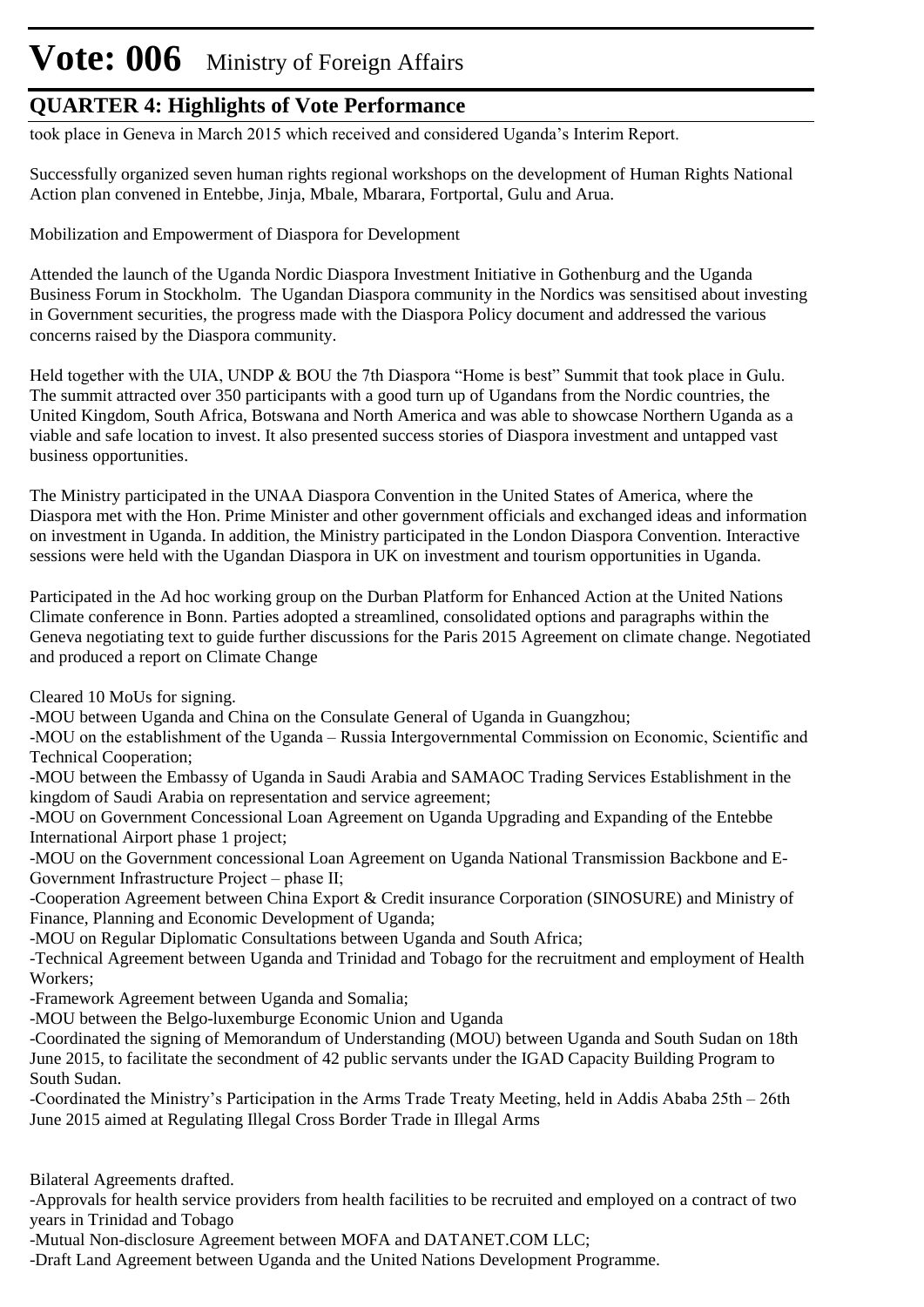### **QUARTER 4: Highlights of Vote Performance**

took place in Geneva in March 2015 which received and considered Uganda's Interim Report.

Successfully organized seven human rights regional workshops on the development of Human Rights National Action plan convened in Entebbe, Jinja, Mbale, Mbarara, Fortportal, Gulu and Arua.

Mobilization and Empowerment of Diaspora for Development

Attended the launch of the Uganda Nordic Diaspora Investment Initiative in Gothenburg and the Uganda Business Forum in Stockholm. The Ugandan Diaspora community in the Nordics was sensitised about investing in Government securities, the progress made with the Diaspora Policy document and addressed the various concerns raised by the Diaspora community.

Held together with the UIA, UNDP & BOU the 7th Diaspora "Home is best" Summit that took place in Gulu. The summit attracted over 350 participants with a good turn up of Ugandans from the Nordic countries, the United Kingdom, South Africa, Botswana and North America and was able to showcase Northern Uganda as a viable and safe location to invest. It also presented success stories of Diaspora investment and untapped vast business opportunities.

The Ministry participated in the UNAA Diaspora Convention in the United States of America, where the Diaspora met with the Hon. Prime Minister and other government officials and exchanged ideas and information on investment in Uganda. In addition, the Ministry participated in the London Diaspora Convention. Interactive sessions were held with the Ugandan Diaspora in UK on investment and tourism opportunities in Uganda.

Participated in the Ad hoc working group on the Durban Platform for Enhanced Action at the United Nations Climate conference in Bonn. Parties adopted a streamlined, consolidated options and paragraphs within the Geneva negotiating text to guide further discussions for the Paris 2015 Agreement on climate change. Negotiated and produced a report on Climate Change

Cleared 10 MoUs for signing.

-MOU between Uganda and China on the Consulate General of Uganda in Guangzhou;

-MOU on the establishment of the Uganda – Russia Intergovernmental Commission on Economic, Scientific and Technical Cooperation;

-MOU between the Embassy of Uganda in Saudi Arabia and SAMAOC Trading Services Establishment in the kingdom of Saudi Arabia on representation and service agreement;

-MOU on Government Concessional Loan Agreement on Uganda Upgrading and Expanding of the Entebbe International Airport phase 1 project;

-MOU on the Government concessional Loan Agreement on Uganda National Transmission Backbone and E-Government Infrastructure Project – phase II;

-Cooperation Agreement between China Export & Credit insurance Corporation (SINOSURE) and Ministry of Finance, Planning and Economic Development of Uganda;

-MOU on Regular Diplomatic Consultations between Uganda and South Africa;

-Technical Agreement between Uganda and Trinidad and Tobago for the recruitment and employment of Health Workers;

-Framework Agreement between Uganda and Somalia;

-MOU between the Belgo-luxemburge Economic Union and Uganda

-Coordinated the signing of Memorandum of Understanding (MOU) between Uganda and South Sudan on 18th June 2015, to facilitate the secondment of 42 public servants under the IGAD Capacity Building Program to South Sudan.

-Coordinated the Ministry's Participation in the Arms Trade Treaty Meeting, held in Addis Ababa 25th – 26th June 2015 aimed at Regulating Illegal Cross Border Trade in Illegal Arms

Bilateral Agreements drafted.

-Approvals for health service providers from health facilities to be recruited and employed on a contract of two years in Trinidad and Tobago

-Mutual Non-disclosure Agreement between MOFA and DATANET.COM LLC;

-Draft Land Agreement between Uganda and the United Nations Development Programme.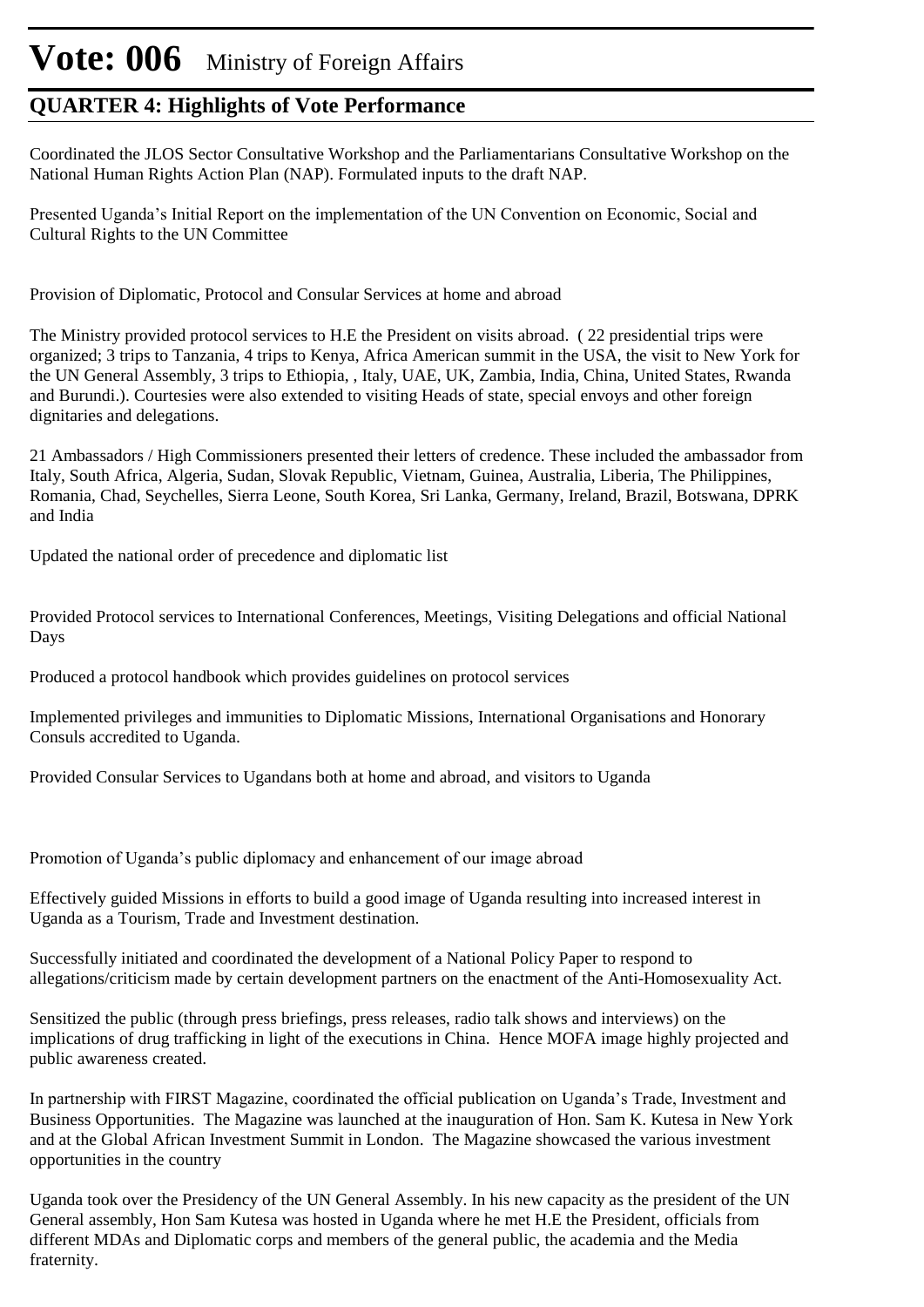### **QUARTER 4: Highlights of Vote Performance**

Coordinated the JLOS Sector Consultative Workshop and the Parliamentarians Consultative Workshop on the National Human Rights Action Plan (NAP). Formulated inputs to the draft NAP.

Presented Uganda's Initial Report on the implementation of the UN Convention on Economic, Social and Cultural Rights to the UN Committee

Provision of Diplomatic, Protocol and Consular Services at home and abroad

The Ministry provided protocol services to H.E the President on visits abroad. ( 22 presidential trips were organized; 3 trips to Tanzania, 4 trips to Kenya, Africa American summit in the USA, the visit to New York for the UN General Assembly, 3 trips to Ethiopia, , Italy, UAE, UK, Zambia, India, China, United States, Rwanda and Burundi.). Courtesies were also extended to visiting Heads of state, special envoys and other foreign dignitaries and delegations.

21 Ambassadors / High Commissioners presented their letters of credence. These included the ambassador from Italy, South Africa, Algeria, Sudan, Slovak Republic, Vietnam, Guinea, Australia, Liberia, The Philippines, Romania, Chad, Seychelles, Sierra Leone, South Korea, Sri Lanka, Germany, Ireland, Brazil, Botswana, DPRK and India

Updated the national order of precedence and diplomatic list

Provided Protocol services to International Conferences, Meetings, Visiting Delegations and official National Days

Produced a protocol handbook which provides guidelines on protocol services

Implemented privileges and immunities to Diplomatic Missions, International Organisations and Honorary Consuls accredited to Uganda.

Provided Consular Services to Ugandans both at home and abroad, and visitors to Uganda

Promotion of Uganda's public diplomacy and enhancement of our image abroad

Effectively guided Missions in efforts to build a good image of Uganda resulting into increased interest in Uganda as a Tourism, Trade and Investment destination.

Successfully initiated and coordinated the development of a National Policy Paper to respond to allegations/criticism made by certain development partners on the enactment of the Anti-Homosexuality Act.

Sensitized the public (through press briefings, press releases, radio talk shows and interviews) on the implications of drug trafficking in light of the executions in China. Hence MOFA image highly projected and public awareness created.

In partnership with FIRST Magazine, coordinated the official publication on Uganda's Trade, Investment and Business Opportunities. The Magazine was launched at the inauguration of Hon. Sam K. Kutesa in New York and at the Global African Investment Summit in London. The Magazine showcased the various investment opportunities in the country

Uganda took over the Presidency of the UN General Assembly. In his new capacity as the president of the UN General assembly, Hon Sam Kutesa was hosted in Uganda where he met H.E the President, officials from different MDAs and Diplomatic corps and members of the general public, the academia and the Media fraternity.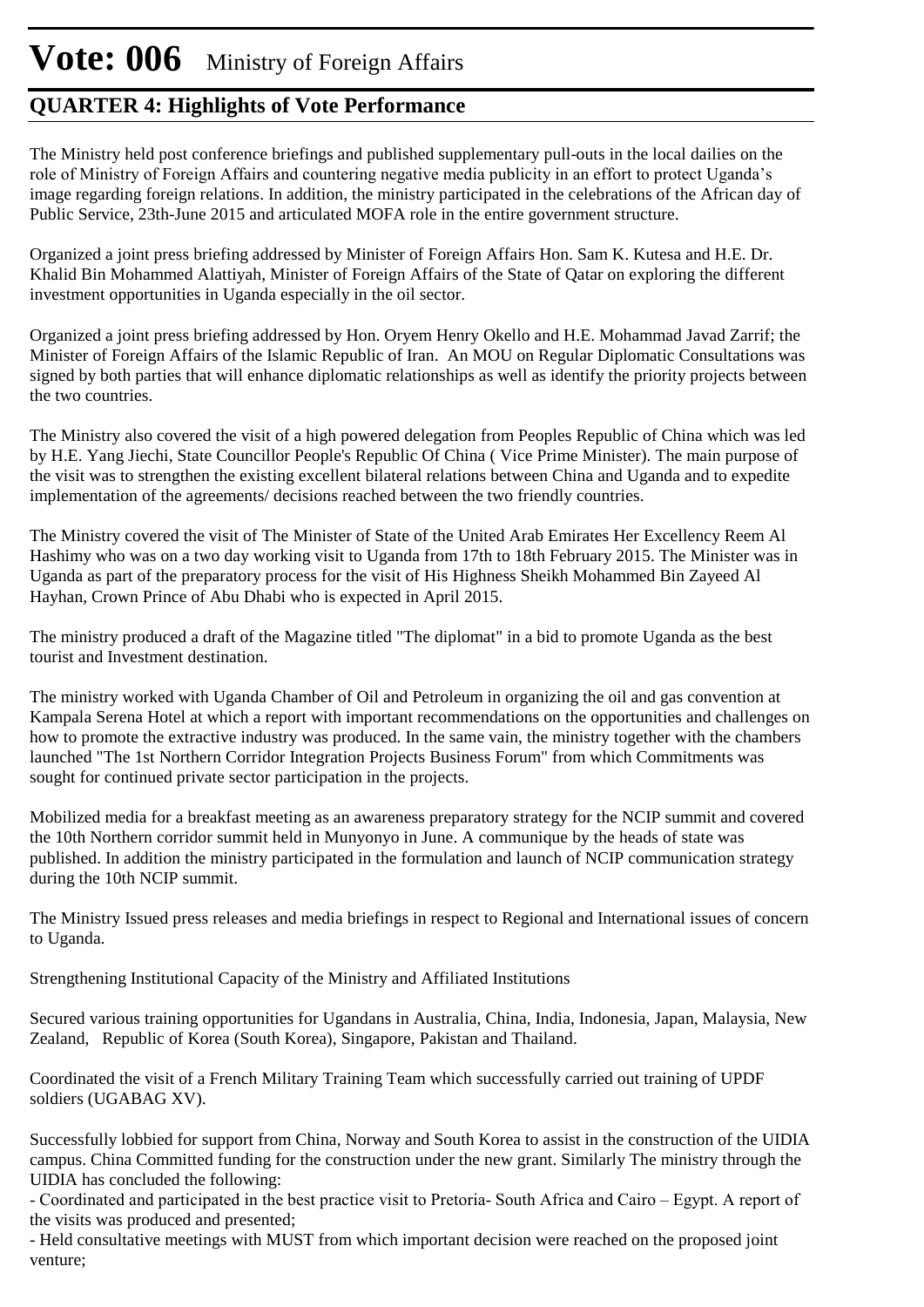### **QUARTER 4: Highlights of Vote Performance**

The Ministry held post conference briefings and published supplementary pull-outs in the local dailies on the role of Ministry of Foreign Affairs and countering negative media publicity in an effort to protect Uganda's image regarding foreign relations. In addition, the ministry participated in the celebrations of the African day of Public Service, 23th-June 2015 and articulated MOFA role in the entire government structure.

Organized a joint press briefing addressed by Minister of Foreign Affairs Hon. Sam K. Kutesa and H.E. Dr. Khalid Bin Mohammed Alattiyah, Minister of Foreign Affairs of the State of Qatar on exploring the different investment opportunities in Uganda especially in the oil sector.

Organized a joint press briefing addressed by Hon. Oryem Henry Okello and H.E. Mohammad Javad Zarrif; the Minister of Foreign Affairs of the Islamic Republic of Iran. An MOU on Regular Diplomatic Consultations was signed by both parties that will enhance diplomatic relationships as well as identify the priority projects between the two countries.

The Ministry also covered the visit of a high powered delegation from Peoples Republic of China which was led by H.E. Yang Jiechi, State Councillor People's Republic Of China ( Vice Prime Minister). The main purpose of the visit was to strengthen the existing excellent bilateral relations between China and Uganda and to expedite implementation of the agreements/ decisions reached between the two friendly countries.

The Ministry covered the visit of The Minister of State of the United Arab Emirates Her Excellency Reem Al Hashimy who was on a two day working visit to Uganda from 17th to 18th February 2015. The Minister was in Uganda as part of the preparatory process for the visit of His Highness Sheikh Mohammed Bin Zayeed Al Hayhan, Crown Prince of Abu Dhabi who is expected in April 2015.

The ministry produced a draft of the Magazine titled "The diplomat" in a bid to promote Uganda as the best tourist and Investment destination.

The ministry worked with Uganda Chamber of Oil and Petroleum in organizing the oil and gas convention at Kampala Serena Hotel at which a report with important recommendations on the opportunities and challenges on how to promote the extractive industry was produced. In the same vain, the ministry together with the chambers launched "The 1st Northern Corridor Integration Projects Business Forum" from which Commitments was sought for continued private sector participation in the projects.

Mobilized media for a breakfast meeting as an awareness preparatory strategy for the NCIP summit and covered the 10th Northern corridor summit held in Munyonyo in June. A communique by the heads of state was published. In addition the ministry participated in the formulation and launch of NCIP communication strategy during the 10th NCIP summit.

The Ministry Issued press releases and media briefings in respect to Regional and International issues of concern to Uganda.

Strengthening Institutional Capacity of the Ministry and Affiliated Institutions

Secured various training opportunities for Ugandans in Australia, China, India, Indonesia, Japan, Malaysia, New Zealand, Republic of Korea (South Korea), Singapore, Pakistan and Thailand.

Coordinated the visit of a French Military Training Team which successfully carried out training of UPDF soldiers (UGABAG XV).

Successfully lobbied for support from China, Norway and South Korea to assist in the construction of the UIDIA campus. China Committed funding for the construction under the new grant. Similarly The ministry through the UIDIA has concluded the following:

- Coordinated and participated in the best practice visit to Pretoria- South Africa and Cairo – Egypt. A report of the visits was produced and presented;

- Held consultative meetings with MUST from which important decision were reached on the proposed joint venture;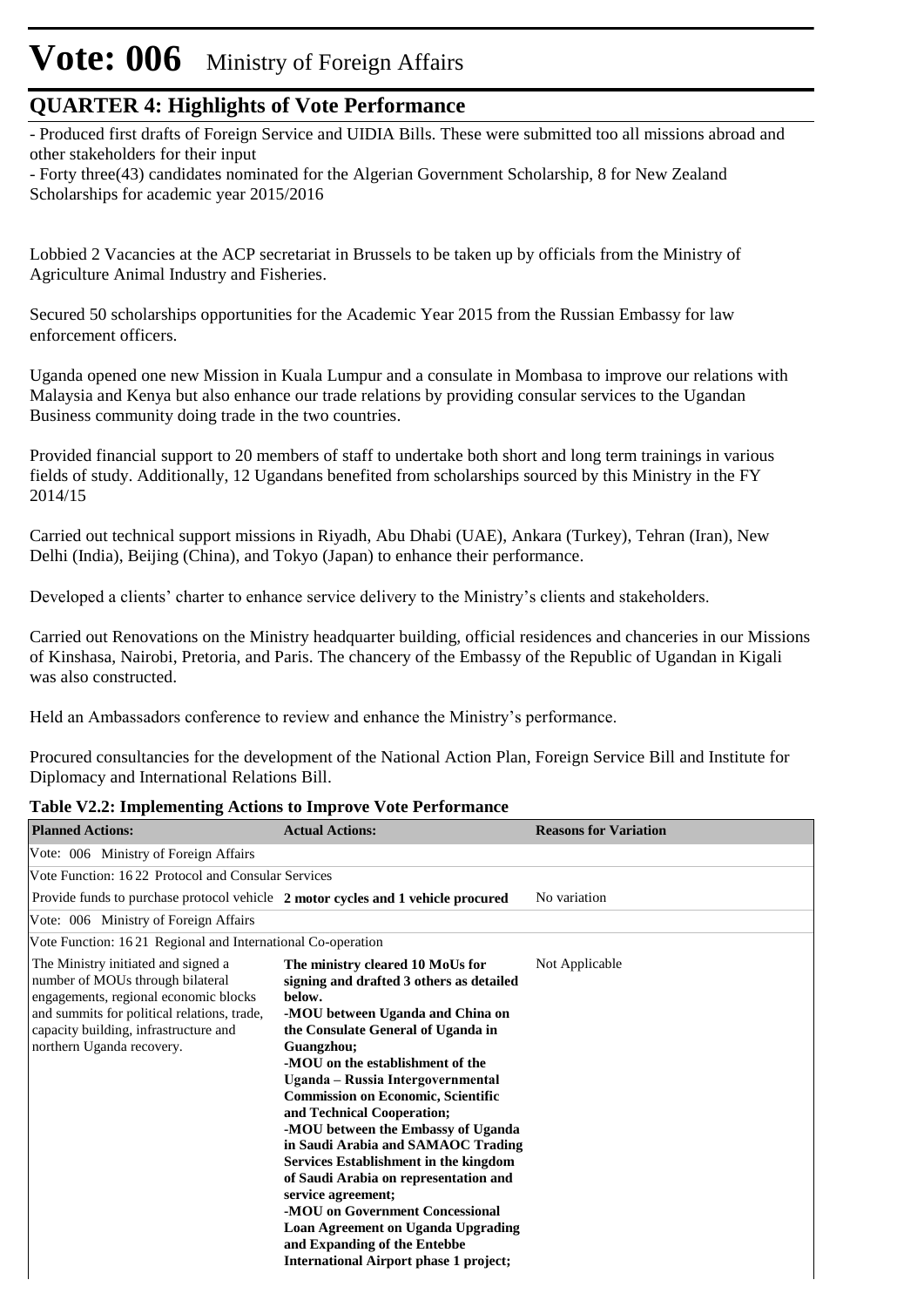#### **QUARTER 4: Highlights of Vote Performance**

- Produced first drafts of Foreign Service and UIDIA Bills. These were submitted too all missions abroad and other stakeholders for their input

- Forty three(43) candidates nominated for the Algerian Government Scholarship, 8 for New Zealand Scholarships for academic year 2015/2016

Lobbied 2 Vacancies at the ACP secretariat in Brussels to be taken up by officials from the Ministry of Agriculture Animal Industry and Fisheries.

Secured 50 scholarships opportunities for the Academic Year 2015 from the Russian Embassy for law enforcement officers.

Uganda opened one new Mission in Kuala Lumpur and a consulate in Mombasa to improve our relations with Malaysia and Kenya but also enhance our trade relations by providing consular services to the Ugandan Business community doing trade in the two countries.

Provided financial support to 20 members of staff to undertake both short and long term trainings in various fields of study. Additionally, 12 Ugandans benefited from scholarships sourced by this Ministry in the FY 2014/15

Carried out technical support missions in Riyadh, Abu Dhabi (UAE), Ankara (Turkey), Tehran (Iran), New Delhi (India), Beijing (China), and Tokyo (Japan) to enhance their performance.

Developed a clients' charter to enhance service delivery to the Ministry's clients and stakeholders.

Carried out Renovations on the Ministry headquarter building, official residences and chanceries in our Missions of Kinshasa, Nairobi, Pretoria, and Paris. The chancery of the Embassy of the Republic of Ugandan in Kigali was also constructed.

Held an Ambassadors conference to review and enhance the Ministry's performance.

Procured consultancies for the development of the National Action Plan, Foreign Service Bill and Institute for Diplomacy and International Relations Bill.

| <b>Planned Actions:</b>                                                                                                                                                                                                               | <b>Actual Actions:</b>                                                                                                                                                                                                                                                                                                                                                                                                                                                                                                                                                                                                                                                                  | <b>Reasons for Variation</b> |
|---------------------------------------------------------------------------------------------------------------------------------------------------------------------------------------------------------------------------------------|-----------------------------------------------------------------------------------------------------------------------------------------------------------------------------------------------------------------------------------------------------------------------------------------------------------------------------------------------------------------------------------------------------------------------------------------------------------------------------------------------------------------------------------------------------------------------------------------------------------------------------------------------------------------------------------------|------------------------------|
| Vote: 006 Ministry of Foreign Affairs                                                                                                                                                                                                 |                                                                                                                                                                                                                                                                                                                                                                                                                                                                                                                                                                                                                                                                                         |                              |
| Vote Function: 1622 Protocol and Consular Services                                                                                                                                                                                    |                                                                                                                                                                                                                                                                                                                                                                                                                                                                                                                                                                                                                                                                                         |                              |
| Provide funds to purchase protocol vehicle 2 motor cycles and 1 vehicle procured                                                                                                                                                      |                                                                                                                                                                                                                                                                                                                                                                                                                                                                                                                                                                                                                                                                                         | No variation                 |
| Vote: 006 Ministry of Foreign Affairs                                                                                                                                                                                                 |                                                                                                                                                                                                                                                                                                                                                                                                                                                                                                                                                                                                                                                                                         |                              |
| Vote Function: 1621 Regional and International Co-operation                                                                                                                                                                           |                                                                                                                                                                                                                                                                                                                                                                                                                                                                                                                                                                                                                                                                                         |                              |
| The Ministry initiated and signed a<br>number of MOUs through bilateral<br>engagements, regional economic blocks<br>and summits for political relations, trade,<br>capacity building, infrastructure and<br>northern Uganda recovery. | The ministry cleared 10 MoUs for<br>signing and drafted 3 others as detailed<br>below.<br>-MOU between Uganda and China on<br>the Consulate General of Uganda in<br>Guangzhou;<br>-MOU on the establishment of the<br>Uganda - Russia Intergovernmental<br><b>Commission on Economic, Scientific</b><br>and Technical Cooperation;<br>-MOU between the Embassy of Uganda<br>in Saudi Arabia and SAMAOC Trading<br><b>Services Establishment in the kingdom</b><br>of Saudi Arabia on representation and<br>service agreement;<br>-MOU on Government Concessional<br>Loan Agreement on Uganda Upgrading<br>and Expanding of the Entebbe<br><b>International Airport phase 1 project;</b> | Not Applicable               |

#### **Table V2.2: Implementing Actions to Improve Vote Performance**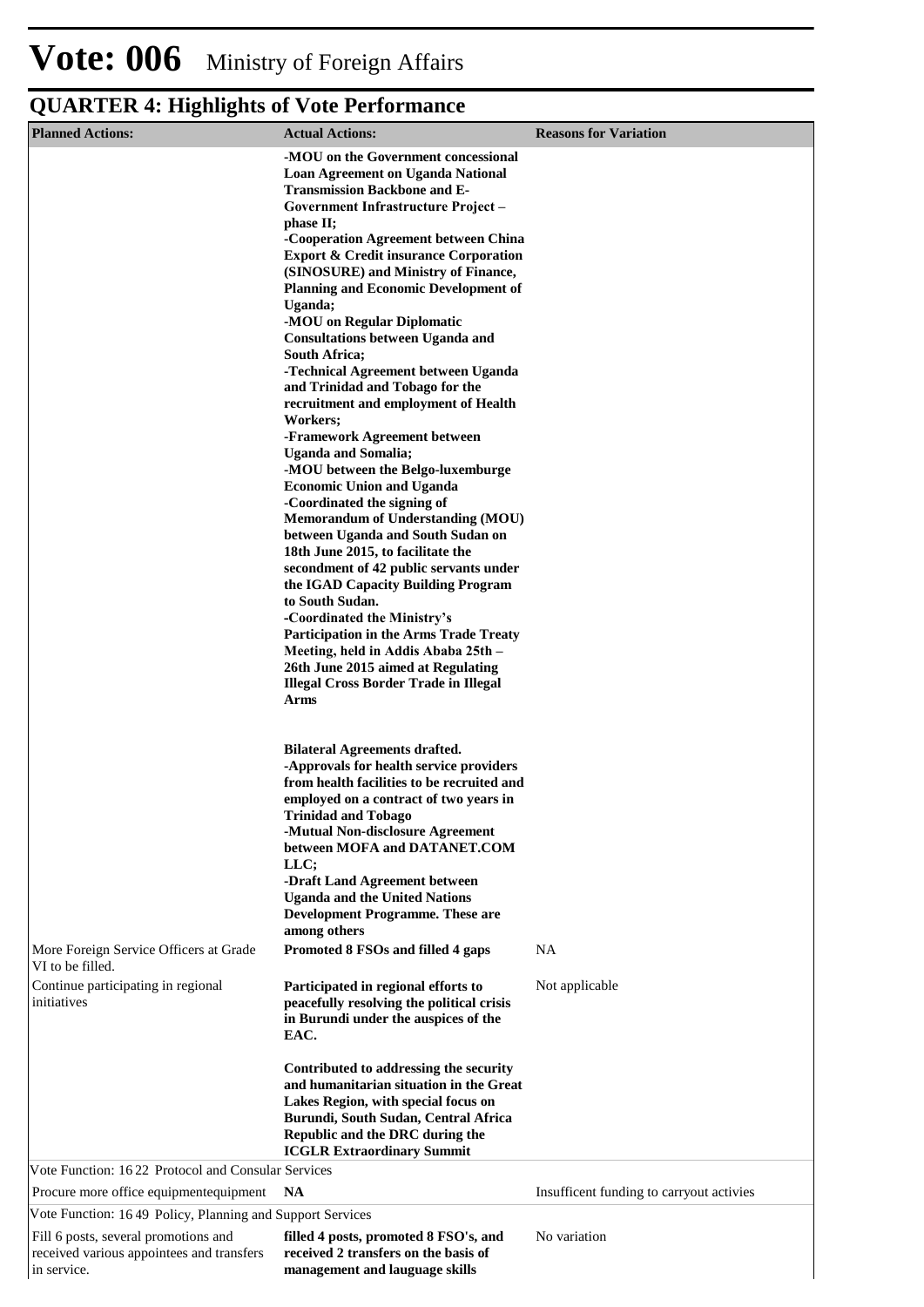| <b>Planned Actions:</b>                                                                          | <b>Actual Actions:</b>                                                                                                                                                                                                                                                                                                                                                                                                                                                                                                                                                                                                                                                                                                                                                                                                                                                                                                                                                                                                                                                                                                                                                                                                    | <b>Reasons for Variation</b>             |
|--------------------------------------------------------------------------------------------------|---------------------------------------------------------------------------------------------------------------------------------------------------------------------------------------------------------------------------------------------------------------------------------------------------------------------------------------------------------------------------------------------------------------------------------------------------------------------------------------------------------------------------------------------------------------------------------------------------------------------------------------------------------------------------------------------------------------------------------------------------------------------------------------------------------------------------------------------------------------------------------------------------------------------------------------------------------------------------------------------------------------------------------------------------------------------------------------------------------------------------------------------------------------------------------------------------------------------------|------------------------------------------|
|                                                                                                  | -MOU on the Government concessional<br><b>Loan Agreement on Uganda National</b><br><b>Transmission Backbone and E-</b><br>Government Infrastructure Project-<br>phase II;<br>-Cooperation Agreement between China<br><b>Export &amp; Credit insurance Corporation</b><br>(SINOSURE) and Ministry of Finance,<br><b>Planning and Economic Development of</b><br>Uganda;<br>-MOU on Regular Diplomatic<br><b>Consultations between Uganda and</b><br><b>South Africa;</b><br>-Technical Agreement between Uganda<br>and Trinidad and Tobago for the<br>recruitment and employment of Health<br>Workers;<br>-Framework Agreement between<br><b>Uganda and Somalia;</b><br>-MOU between the Belgo-luxemburge<br><b>Economic Union and Uganda</b><br>-Coordinated the signing of<br><b>Memorandum of Understanding (MOU)</b><br>between Uganda and South Sudan on<br>18th June 2015, to facilitate the<br>secondment of 42 public servants under<br>the IGAD Capacity Building Program<br>to South Sudan.<br>-Coordinated the Ministry's<br><b>Participation in the Arms Trade Treaty</b><br>Meeting, held in Addis Ababa 25th -<br>26th June 2015 aimed at Regulating<br><b>Illegal Cross Border Trade in Illegal</b><br>Arms |                                          |
| More Foreign Service Officers at Grade                                                           | <b>Bilateral Agreements drafted.</b><br>-Approvals for health service providers<br>from health facilities to be recruited and<br>employed on a contract of two years in<br><b>Trinidad and Tobago</b><br>-Mutual Non-disclosure Agreement<br>between MOFA and DATANET.COM<br>LLC;<br>-Draft Land Agreement between<br><b>Uganda and the United Nations</b><br><b>Development Programme. These are</b><br>among others<br>Promoted 8 FSOs and filled 4 gaps                                                                                                                                                                                                                                                                                                                                                                                                                                                                                                                                                                                                                                                                                                                                                                | <b>NA</b>                                |
| VI to be filled.<br>Continue participating in regional<br>initiatives                            | Participated in regional efforts to<br>peacefully resolving the political crisis                                                                                                                                                                                                                                                                                                                                                                                                                                                                                                                                                                                                                                                                                                                                                                                                                                                                                                                                                                                                                                                                                                                                          | Not applicable                           |
|                                                                                                  | in Burundi under the auspices of the<br>EAC.<br>Contributed to addressing the security<br>and humanitarian situation in the Great<br>Lakes Region, with special focus on<br>Burundi, South Sudan, Central Africa<br>Republic and the DRC during the<br><b>ICGLR Extraordinary Summit</b>                                                                                                                                                                                                                                                                                                                                                                                                                                                                                                                                                                                                                                                                                                                                                                                                                                                                                                                                  |                                          |
| Vote Function: 1622 Protocol and Consular Services                                               |                                                                                                                                                                                                                                                                                                                                                                                                                                                                                                                                                                                                                                                                                                                                                                                                                                                                                                                                                                                                                                                                                                                                                                                                                           |                                          |
| Procure more office equipmentequipment                                                           | NA                                                                                                                                                                                                                                                                                                                                                                                                                                                                                                                                                                                                                                                                                                                                                                                                                                                                                                                                                                                                                                                                                                                                                                                                                        | Insufficent funding to carryout activies |
| Vote Function: 1649 Policy, Planning and Support Services                                        |                                                                                                                                                                                                                                                                                                                                                                                                                                                                                                                                                                                                                                                                                                                                                                                                                                                                                                                                                                                                                                                                                                                                                                                                                           |                                          |
| Fill 6 posts, several promotions and<br>received various appointees and transfers<br>in service. | filled 4 posts, promoted 8 FSO's, and<br>received 2 transfers on the basis of<br>management and lauguage skills                                                                                                                                                                                                                                                                                                                                                                                                                                                                                                                                                                                                                                                                                                                                                                                                                                                                                                                                                                                                                                                                                                           | No variation                             |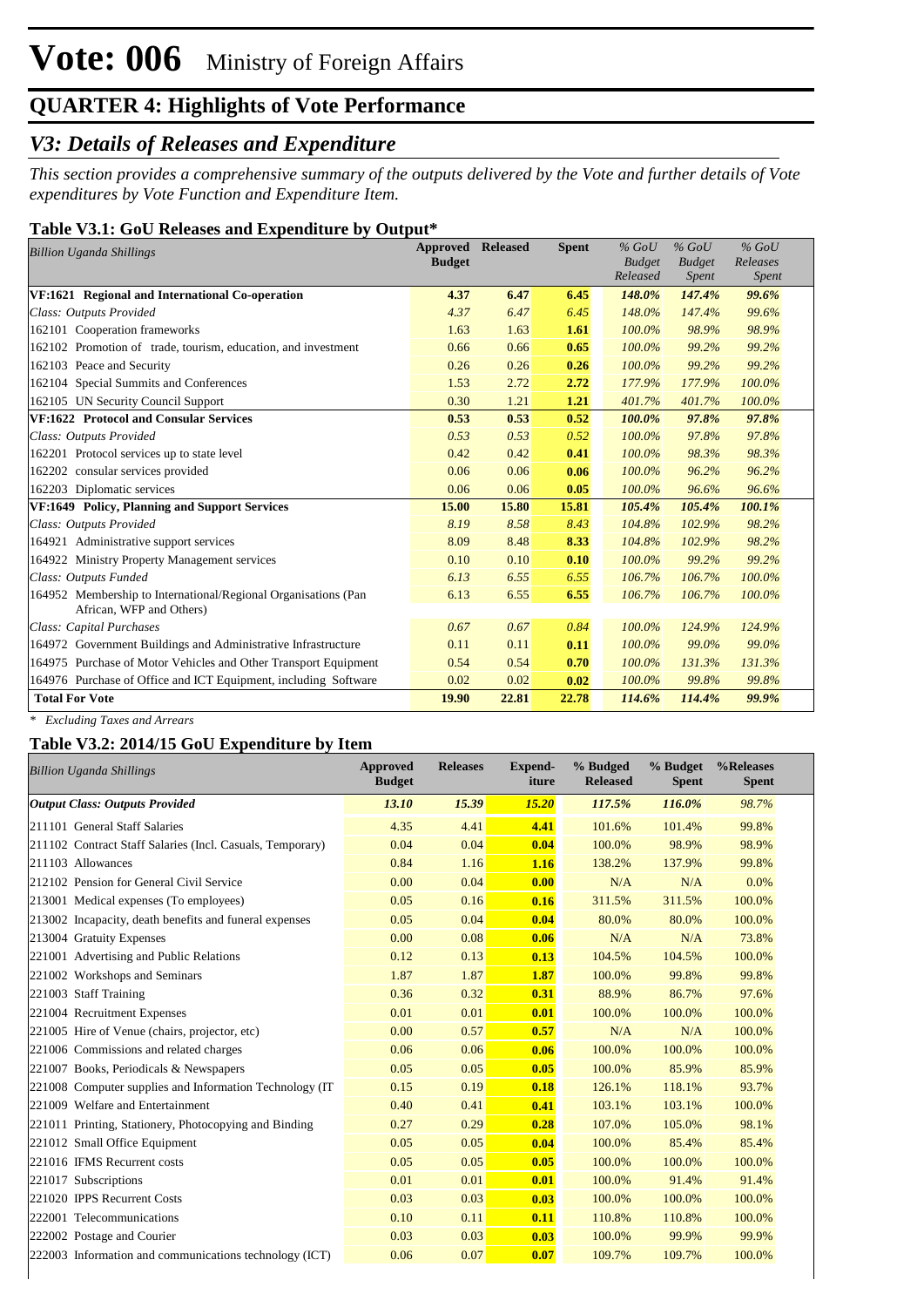#### *V3: Details of Releases and Expenditure*

*This section provides a comprehensive summary of the outputs delivered by the Vote and further details of Vote expenditures by Vote Function and Expenditure Item.*

#### **Table V3.1: GoU Releases and Expenditure by Output\***

| <b>Billion Uganda Shillings</b>                                                            | <b>Approved Released</b> |       | <b>Spent</b> | $%$ GoU       | $%$ GoU       | $%$ GoU  |
|--------------------------------------------------------------------------------------------|--------------------------|-------|--------------|---------------|---------------|----------|
|                                                                                            | <b>Budget</b>            |       |              | <b>Budget</b> | <b>Budget</b> | Releases |
|                                                                                            |                          |       |              | Released      | Spent         | Spent    |
| VF:1621 Regional and International Co-operation                                            | 4.37                     | 6.47  | 6.45         | 148.0%        | 147.4%        | 99.6%    |
| Class: Outputs Provided                                                                    | 4.37                     | 6.47  | 6.45         | 148.0%        | 147.4%        | 99.6%    |
| 162101 Cooperation frameworks                                                              | 1.63                     | 1.63  | 1.61         | 100.0%        | 98.9%         | 98.9%    |
| 162102 Promotion of trade, tourism, education, and investment                              | 0.66                     | 0.66  | 0.65         | 100.0%        | 99.2%         | 99.2%    |
| 162103 Peace and Security                                                                  | 0.26                     | 0.26  | 0.26         | 100.0%        | 99.2%         | 99.2%    |
| 162104 Special Summits and Conferences                                                     | 1.53                     | 2.72  | 2.72         | 177.9%        | 177.9%        | 100.0%   |
| 162105 UN Security Council Support                                                         | 0.30                     | 1.21  | 1.21         | 401.7%        | 401.7%        | 100.0%   |
| VF:1622 Protocol and Consular Services                                                     | 0.53                     | 0.53  | 0.52         | 100.0%        | 97.8%         | 97.8%    |
| Class: Outputs Provided                                                                    | 0.53                     | 0.53  | 0.52         | 100.0%        | 97.8%         | 97.8%    |
| 162201 Protocol services up to state level                                                 | 0.42                     | 0.42  | 0.41         | 100.0%        | 98.3%         | 98.3%    |
| 162202 consular services provided                                                          | 0.06                     | 0.06  | 0.06         | 100.0%        | 96.2%         | 96.2%    |
| 162203 Diplomatic services                                                                 | 0.06                     | 0.06  | 0.05         | 100.0%        | 96.6%         | 96.6%    |
| VF:1649 Policy, Planning and Support Services                                              | 15.00                    | 15.80 | 15.81        | 105.4%        | 105.4%        | 100.1%   |
| Class: Outputs Provided                                                                    | 8.19                     | 8.58  | 8.43         | 104.8%        | 102.9%        | 98.2%    |
| 164921 Administrative support services                                                     | 8.09                     | 8.48  | 8.33         | 104.8%        | 102.9%        | 98.2%    |
| 164922 Ministry Property Management services                                               | 0.10                     | 0.10  | 0.10         | 100.0%        | 99.2%         | 99.2%    |
| Class: Outputs Funded                                                                      | 6.13                     | 6.55  | 6.55         | 106.7%        | 106.7%        | 100.0%   |
| 164952 Membership to International/Regional Organisations (Pan<br>African, WFP and Others) | 6.13                     | 6.55  | 6.55         | 106.7%        | 106.7%        | 100.0%   |
| Class: Capital Purchases                                                                   | 0.67                     | 0.67  | 0.84         | 100.0%        | 124.9%        | 124.9%   |
| 164972 Government Buildings and Administrative Infrastructure                              | 0.11                     | 0.11  | 0.11         | 100.0%        | 99.0%         | 99.0%    |
| 164975 Purchase of Motor Vehicles and Other Transport Equipment                            | 0.54                     | 0.54  | 0.70         | 100.0%        | 131.3%        | 131.3%   |
| 164976 Purchase of Office and ICT Equipment, including Software                            | 0.02                     | 0.02  | 0.02         | 100.0%        | 99.8%         | 99.8%    |
| <b>Total For Vote</b>                                                                      | 19.90                    | 22.81 | 22.78        | 114.6%        | 114.4%        | 99.9%    |

*\* Excluding Taxes and Arrears*

#### **Table V3.2: 2014/15 GoU Expenditure by Item**

| <b>Billion Uganda Shillings</b>                           | <b>Approved</b><br><b>Budget</b> | <b>Releases</b> | <b>Expend-</b><br>iture | % Budged<br><b>Released</b> | % Budget<br><b>Spent</b> | %Releases<br><b>Spent</b> |
|-----------------------------------------------------------|----------------------------------|-----------------|-------------------------|-----------------------------|--------------------------|---------------------------|
| <b>Output Class: Outputs Provided</b>                     | 13.10                            | 15.39           | 15.20                   | 117.5%                      | 116.0%                   | 98.7%                     |
| 211101 General Staff Salaries                             | 4.35                             | 4.41            | 4.41                    | 101.6%                      | 101.4%                   | 99.8%                     |
| 211102 Contract Staff Salaries (Incl. Casuals, Temporary) | 0.04                             | 0.04            | 0.04                    | 100.0%                      | 98.9%                    | 98.9%                     |
| 211103 Allowances                                         | 0.84                             | 1.16            | 1.16                    | 138.2%                      | 137.9%                   | 99.8%                     |
| 212102 Pension for General Civil Service                  | 0.00                             | 0.04            | 0.00                    | N/A                         | N/A                      | 0.0%                      |
| 213001 Medical expenses (To employees)                    | 0.05                             | 0.16            | 0.16                    | 311.5%                      | 311.5%                   | 100.0%                    |
| 213002 Incapacity, death benefits and funeral expenses    | 0.05                             | 0.04            | 0.04                    | 80.0%                       | 80.0%                    | 100.0%                    |
| 213004 Gratuity Expenses                                  | 0.00                             | 0.08            | 0.06                    | N/A                         | N/A                      | 73.8%                     |
| 221001 Advertising and Public Relations                   | 0.12                             | 0.13            | 0.13                    | 104.5%                      | 104.5%                   | 100.0%                    |
| 221002 Workshops and Seminars                             | 1.87                             | 1.87            | 1.87                    | 100.0%                      | 99.8%                    | 99.8%                     |
| 221003 Staff Training                                     | 0.36                             | 0.32            | 0.31                    | 88.9%                       | 86.7%                    | 97.6%                     |
| 221004 Recruitment Expenses                               | 0.01                             | 0.01            | 0.01                    | 100.0%                      | 100.0%                   | 100.0%                    |
| 221005 Hire of Venue (chairs, projector, etc)             | 0.00                             | 0.57            | 0.57                    | N/A                         | N/A                      | 100.0%                    |
| 221006 Commissions and related charges                    | 0.06                             | 0.06            | 0.06                    | 100.0%                      | 100.0%                   | 100.0%                    |
| 221007 Books, Periodicals & Newspapers                    | 0.05                             | 0.05            | 0.05                    | 100.0%                      | 85.9%                    | 85.9%                     |
| 221008 Computer supplies and Information Technology (IT)  | 0.15                             | 0.19            | 0.18                    | 126.1%                      | 118.1%                   | 93.7%                     |
| 221009 Welfare and Entertainment                          | 0.40                             | 0.41            | 0.41                    | 103.1%                      | 103.1%                   | 100.0%                    |
| 221011 Printing, Stationery, Photocopying and Binding     | 0.27                             | 0.29            | 0.28                    | 107.0%                      | 105.0%                   | 98.1%                     |
| 221012 Small Office Equipment                             | 0.05                             | 0.05            | 0.04                    | 100.0%                      | 85.4%                    | 85.4%                     |
| 221016 IFMS Recurrent costs                               | 0.05                             | 0.05            | 0.05                    | 100.0%                      | 100.0%                   | 100.0%                    |
| 221017 Subscriptions                                      | 0.01                             | 0.01            | 0.01                    | 100.0%                      | 91.4%                    | 91.4%                     |
| 221020 IPPS Recurrent Costs                               | 0.03                             | 0.03            | 0.03                    | 100.0%                      | 100.0%                   | 100.0%                    |
| 222001 Telecommunications                                 | 0.10                             | 0.11            | 0.11                    | 110.8%                      | 110.8%                   | 100.0%                    |
| 222002 Postage and Courier                                | 0.03                             | 0.03            | 0.03                    | 100.0%                      | 99.9%                    | 99.9%                     |
| 222003 Information and communications technology (ICT)    | 0.06                             | 0.07            | 0.07                    | 109.7%                      | 109.7%                   | 100.0%                    |